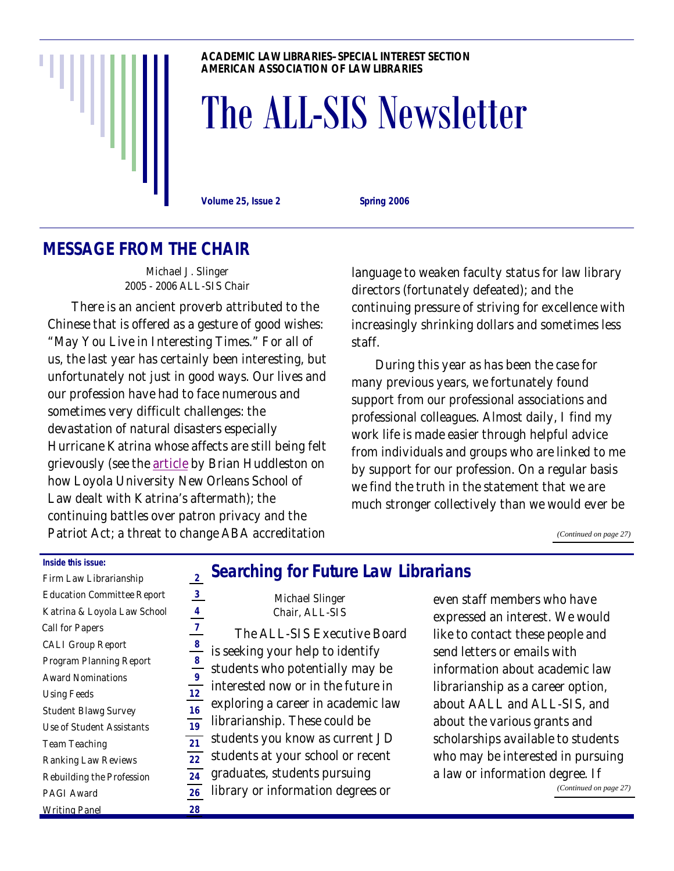

#### **ACADEMIC LAW LIBRARIES–SPECIAL INTEREST SECTION AMERICAN ASSOCIATION OF LAW LIBRARIES**

# The ALL-SIS Newsletter

**Volume 25, Issue 2 Spring 2006** 

# **MESSAGE FROM THE CHAIR**

Michael J. Slinger 2005 - 2006 ALL-SIS Chair

 There is an ancient proverb attributed to the Chinese that is offered as a gesture of good wishes: "May You Live in Interesting Times." For all of us, the last year has certainly been interesting, but unfortunately not just in good ways. Our lives and our profession have had to face numerous and sometimes very difficult challenges: the devastation of natural disasters especially Hurricane Katrina whose affects are still being felt grievously (see the [article](#page-3-0) by Brian Huddleston on how Loyola University New Orleans School of Law dealt with Katrina's aftermath); the continuing battles over patron privacy and the Patriot Act; a threat to change ABA accreditation

language to weaken faculty status for law library directors (fortunately defeated); and the continuing pressure of striving for excellence with increasingly shrinking dollars and sometimes less staff.

 During this year as has been the case for many previous years, we fortunately found support from our professional associations and professional colleagues. Almost daily, I find my work life is made easier through helpful advice from individuals and groups who are linked to me by support for our profession. On a regular basis we find the truth in the statement that we are much stronger collectively than we would ever be

*[\(Continued on page 27\)](#page-26-0)* 

#### **Inside this issue:**

| Firm Law Librarianship            | 2  |
|-----------------------------------|----|
| <b>Education Committee Report</b> | 3  |
| Katrina & Loyola Law School       | 4  |
| <b>Call for Papers</b>            | 7  |
| <b>CALI Group Report</b>          | 8  |
| <b>Program Planning Report</b>    | 8  |
| <b>Award Nominations</b>          | 9  |
| <b>Using Feeds</b>                | 12 |
| <b>Student Blawg Survey</b>       | 16 |
| <b>Use of Student Assistants</b>  | 19 |
| <b>Team Teaching</b>              | 21 |
| <b>Ranking Law Reviews</b>        | 22 |
| <b>Rebuilding the Profession</b>  | 24 |
| <b>PAGI Award</b>                 | 26 |
| <b>Writing Panel</b>              | 28 |

### **Searching for Future Law Librarians**

| 3              | <b>Michael Slinger</b>             |
|----------------|------------------------------------|
| 4              | Chair, ALL-SIS                     |
| 7              | The ALL-SIS Executive Board        |
| 8              | is seeking your help to identify   |
| 8<br>9         | students who potentially may be    |
| $\overline{2}$ | interested now or in the future in |
| 6              | exploring a career in academic law |
| 9              | librarianship. These could be      |
| 1              | students you know as current JD    |
| $\overline{2}$ | students at your school or recent  |
| 4              | graduates, students pursuing       |
| 6              | library or information degrees or  |
| Ŕ              |                                    |

even staff members who have expressed an interest. We would like to contact these people and send letters or emails with information about academic law librarianship as a career option, about AALL and ALL-SIS, and about the various grants and scholarships available to students who may be interested in pursuing a law or information degree. If

*[\(Continued on page 27\)](#page-26-0)*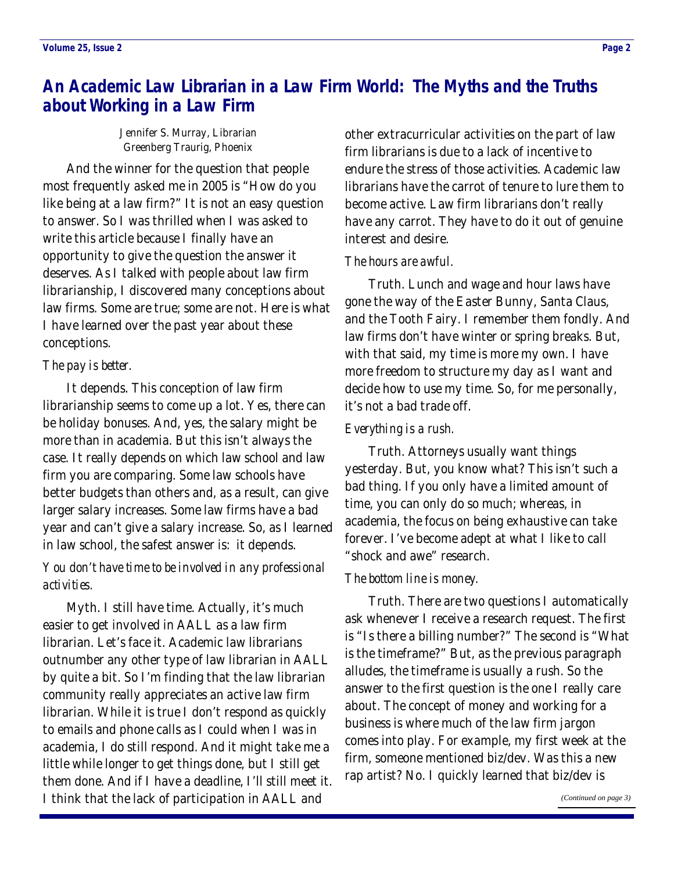# <span id="page-1-0"></span>**An Academic Law Librarian in a Law Firm World: The Myths and the Truths about Working in a Law Firm**

Jennifer S. Murray, Librarian Greenberg Traurig, Phoenix

 And the winner for the question that people most frequently asked me in 2005 is "How do you like being at a law firm?" It is not an easy question to answer. So I was thrilled when I was asked to write this article because I finally have an opportunity to give the question the answer it deserves. As I talked with people about law firm librarianship, I discovered many conceptions about law firms. Some are true; some are not. Here is what I have learned over the past year about these conceptions.

### *The pay is better.*

 It depends. This conception of law firm librarianship seems to come up a lot. Yes, there can be holiday bonuses. And, yes, the salary might be more than in academia. But this isn't always the case. It really depends on which law school and law firm you are comparing. Some law schools have better budgets than others and, as a result, can give larger salary increases. Some law firms have a bad year and can't give a salary increase. So, as I learned in law school, the safest answer is: it depends.

### *You don't have time to be involved in any professional activities.*

 Myth. I still have time. Actually, it's much easier to get involved in AALL as a law firm librarian. Let's face it. Academic law librarians outnumber any other type of law librarian in AALL by quite a bit. So I'm finding that the law librarian community really appreciates an active law firm librarian. While it is true I don't respond as quickly to emails and phone calls as I could when I was in academia, I do still respond. And it might take me a little while longer to get things done, but I still get them done. And if I have a deadline, I'll still meet it. I think that the lack of participation in AALL and

other extracurricular activities on the part of law firm librarians is due to a lack of incentive to endure the stress of those activities. Academic law librarians have the carrot of tenure to lure them to become active. Law firm librarians don't really have any carrot. They have to do it out of genuine interest and desire.

### *The hours are awful.*

 Truth. Lunch and wage and hour laws have gone the way of the Easter Bunny, Santa Claus, and the Tooth Fairy. I remember them fondly. And law firms don't have winter or spring breaks. But, with that said, my time is more my own. I have more freedom to structure my day as I want and decide how to use my time. So, for me personally, it's not a bad trade off.

### *Everything is a rush.*

 Truth. Attorneys usually want things yesterday. But, you know what? This isn't such a bad thing. If you only have a limited amount of time, you can only do so much; whereas, in academia, the focus on being exhaustive can take forever. I've become adept at what I like to call "shock and awe" research.

### *The bottom line is money.*

 Truth. There are two questions I automatically ask whenever I receive a research request. The first is "Is there a billing number?" The second is "What is the timeframe?" But, as the previous paragraph alludes, the timeframe is usually a rush. So the answer to the first question is the one I really care about. The concept of money and working for a business is where much of the law firm jargon comes into play. For example, my first week at the firm, someone mentioned biz/dev. Was this a new rap artist? No. I quickly learned that biz/dev is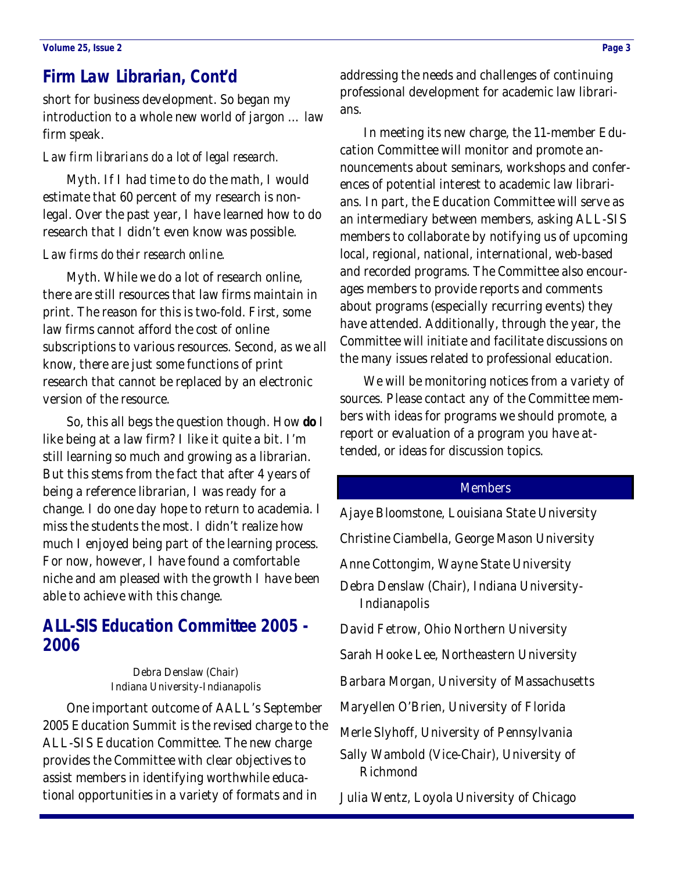### <span id="page-2-0"></span>**Firm Law Librarian, Cont'd**

short for business development. So began my introduction to a whole new world of jargon … law firm speak.

#### *Law firm librarians do a lot of legal research.*

 Myth. If I had time to do the math, I would estimate that 60 percent of my research is nonlegal. Over the past year, I have learned how to do research that I didn't even know was possible.

#### *Law firms do their research online.*

 Myth. While we do a lot of research online, there are still resources that law firms maintain in print. The reason for this is two-fold. First, some law firms cannot afford the cost of online subscriptions to various resources. Second, as we all know, there are just some functions of print research that cannot be replaced by an electronic version of the resource.

 So, this all begs the question though. How **do** I like being at a law firm? I like it quite a bit. I'm still learning so much and growing as a librarian. But this stems from the fact that after 4 years of being a reference librarian, I was ready for a change. I do one day hope to return to academia. I miss the students the most. I didn't realize how much I enjoyed being part of the learning process. For now, however, I have found a comfortable niche and am pleased with the growth I have been able to achieve with this change.

### **ALL-SIS Education Committee 2005 - 2006**

Debra Denslaw (Chair) Indiana University-Indianapolis

 One important outcome of AALL's September 2005 Education Summit is the revised charge to the ALL-SIS Education Committee. The new charge provides the Committee with clear objectives to assist members in identifying worthwhile educational opportunities in a variety of formats and in

addressing the needs and challenges of continuing professional development for academic law librarians.

 In meeting its new charge, the 11-member Education Committee will monitor and promote announcements about seminars, workshops and conferences of potential interest to academic law librarians. In part, the Education Committee will serve as an intermediary between members, asking ALL-SIS members to collaborate by notifying us of upcoming local, regional, national, international, web-based and recorded programs. The Committee also encourages members to provide reports and comments about programs (especially recurring events) they have attended. Additionally, through the year, the Committee will initiate and facilitate discussions on the many issues related to professional education.

 We will be monitoring notices from a variety of sources. Please contact any of the Committee members with ideas for programs we should promote, a report or evaluation of a program you have attended, or ideas for discussion topics.

#### **Members**

Ajaye Bloomstone, Louisiana State University Christine Ciambella, George Mason University Anne Cottongim, Wayne State University Debra Denslaw (Chair), Indiana University-Indianapolis David Fetrow, Ohio Northern University Sarah Hooke Lee, Northeastern University Barbara Morgan, University of Massachusetts Maryellen O'Brien, University of Florida Merle Slyhoff, University of Pennsylvania Sally Wambold (Vice-Chair), University of Richmond

Julia Wentz, Loyola University of Chicago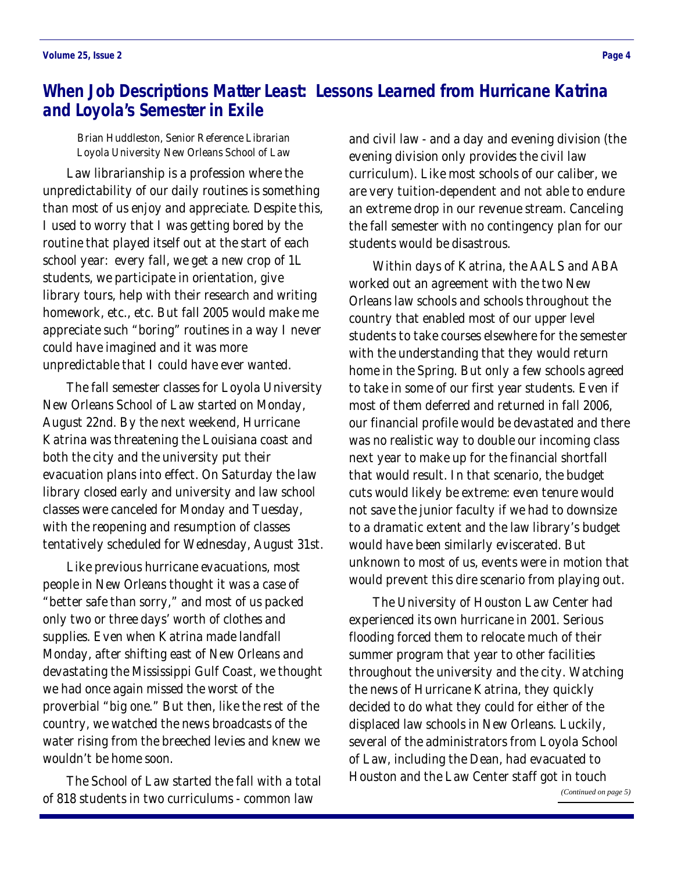## <span id="page-3-0"></span>**When Job Descriptions Matter Least: Lessons Learned from Hurricane Katrina and Loyola's Semester in Exile**

Brian Huddleston, Senior Reference Librarian Loyola University New Orleans School of Law

 Law librarianship is a profession where the unpredictability of our daily routines is something than most of us enjoy and appreciate. Despite this, I used to worry that I was getting bored by the routine that played itself out at the start of each school year: every fall, we get a new crop of 1L students, we participate in orientation, give library tours, help with their research and writing homework, etc., etc. But fall 2005 would make me appreciate such "boring" routines in a way I never could have imagined and it was more unpredictable that I could have ever wanted.

 The fall semester classes for Loyola University New Orleans School of Law started on Monday, August 22nd. By the next weekend, Hurricane Katrina was threatening the Louisiana coast and both the city and the university put their evacuation plans into effect. On Saturday the law library closed early and university and law school classes were canceled for Monday and Tuesday, with the reopening and resumption of classes tentatively scheduled for Wednesday, August 31st.

 Like previous hurricane evacuations, most people in New Orleans thought it was a case of "better safe than sorry," and most of us packed only two or three days' worth of clothes and supplies. Even when Katrina made landfall Monday, after shifting east of New Orleans and devastating the Mississippi Gulf Coast, we thought we had once again missed the worst of the proverbial "big one." But then, like the rest of the country, we watched the news broadcasts of the water rising from the breeched levies and knew we wouldn't be home soon.

 The School of Law started the fall with a total of 818 students in two curriculums - common law

and civil law - and a day and evening division (the evening division only provides the civil law curriculum). Like most schools of our caliber, we are very tuition-dependent and not able to endure an extreme drop in our revenue stream. Canceling the fall semester with no contingency plan for our students would be disastrous.

 Within days of Katrina, the AALS and ABA worked out an agreement with the two New Orleans law schools and schools throughout the country that enabled most of our upper level students to take courses elsewhere for the semester with the understanding that they would return home in the Spring. But only a few schools agreed to take in some of our first year students. Even if most of them deferred and returned in fall 2006, our financial profile would be devastated and there was no realistic way to double our incoming class next year to make up for the financial shortfall that would result. In that scenario, the budget cuts would likely be extreme: even tenure would not save the junior faculty if we had to downsize to a dramatic extent and the law library's budget would have been similarly eviscerated. But unknown to most of us, events were in motion that would prevent this dire scenario from playing out.

 The University of Houston Law Center had experienced its own hurricane in 2001. Serious flooding forced them to relocate much of their summer program that year to other facilities throughout the university and the city. Watching the news of Hurricane Katrina, they quickly decided to do what they could for either of the displaced law schools in New Orleans. Luckily, several of the administrators from Loyola School of Law, including the Dean, had evacuated to Houston and the Law Center staff got in touch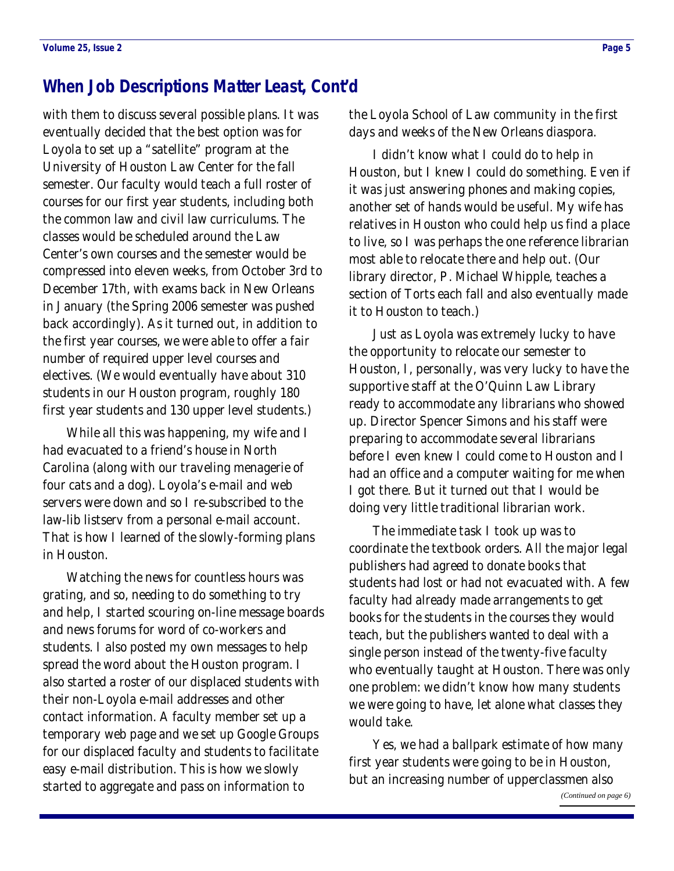### <span id="page-4-0"></span>**When Job Descriptions Matter Least, Cont'd**

with them to discuss several possible plans. It was eventually decided that the best option was for Loyola to set up a "satellite" program at the University of Houston Law Center for the fall semester. Our faculty would teach a full roster of courses for our first year students, including both the common law and civil law curriculums. The classes would be scheduled around the Law Center's own courses and the semester would be compressed into eleven weeks, from October 3rd to December 17th, with exams back in New Orleans in January (the Spring 2006 semester was pushed back accordingly). As it turned out, in addition to the first year courses, we were able to offer a fair number of required upper level courses and electives. (We would eventually have about 310 students in our Houston program, roughly 180 first year students and 130 upper level students.)

 While all this was happening, my wife and I had evacuated to a friend's house in North Carolina (along with our traveling menagerie of four cats and a dog). Loyola's e-mail and web servers were down and so I re-subscribed to the law-lib listserv from a personal e-mail account. That is how I learned of the slowly-forming plans in Houston.

 Watching the news for countless hours was grating, and so, needing to do something to try and help, I started scouring on-line message boards and news forums for word of co-workers and students. I also posted my own messages to help spread the word about the Houston program. I also started a roster of our displaced students with their non-Loyola e-mail addresses and other contact information. A faculty member set up a temporary web page and we set up Google Groups for our displaced faculty and students to facilitate easy e-mail distribution. This is how we slowly started to aggregate and pass on information to

the Loyola School of Law community in the first days and weeks of the New Orleans diaspora.

 I didn't know what I could do to help in Houston, but I knew I could do something. Even if it was just answering phones and making copies, another set of hands would be useful. My wife has relatives in Houston who could help us find a place to live, so I was perhaps the one reference librarian most able to relocate there and help out. (Our library director, P. Michael Whipple, teaches a section of Torts each fall and also eventually made it to Houston to teach.)

 Just as Loyola was extremely lucky to have the opportunity to relocate our semester to Houston, I, personally, was very lucky to have the supportive staff at the O'Quinn Law Library ready to accommodate any librarians who showed up. Director Spencer Simons and his staff were preparing to accommodate several librarians before I even knew I could come to Houston and I had an office and a computer waiting for me when I got there. But it turned out that I would be doing very little traditional librarian work.

 The immediate task I took up was to coordinate the textbook orders. All the major legal publishers had agreed to donate books that students had lost or had not evacuated with. A few faculty had already made arrangements to get books for the students in the courses they would teach, but the publishers wanted to deal with a single person instead of the twenty-five faculty who eventually taught at Houston. There was only one problem: we didn't know how many students we were going to have, let alone what classes they would take.

 Yes, we had a ballpark estimate of how many first year students were going to be in Houston, but an increasing number of upperclassmen also *[\(Continued on page 6\)](#page-5-0)*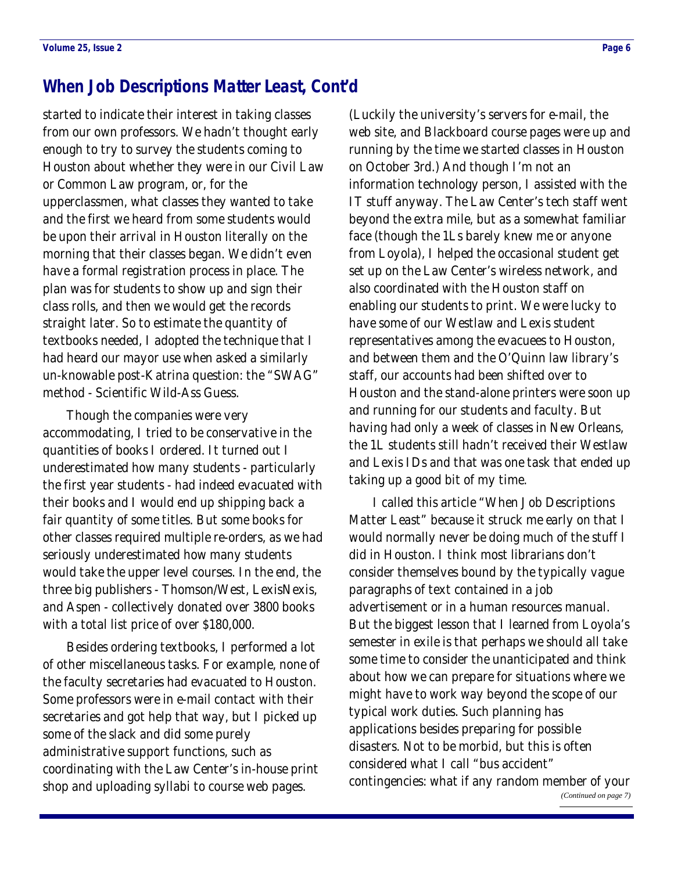### <span id="page-5-0"></span>**When Job Descriptions Matter Least, Cont'd**

started to indicate their interest in taking classes from our own professors. We hadn't thought early enough to try to survey the students coming to Houston about whether they were in our Civil Law or Common Law program, or, for the upperclassmen, what classes they wanted to take and the first we heard from some students would be upon their arrival in Houston literally on the morning that their classes began. We didn't even have a formal registration process in place. The plan was for students to show up and sign their class rolls, and then we would get the records straight later. So to estimate the quantity of textbooks needed, I adopted the technique that I had heard our mayor use when asked a similarly un-knowable post-Katrina question: the "SWAG" method - Scientific Wild-Ass Guess.

 Though the companies were very accommodating, I tried to be conservative in the quantities of books I ordered. It turned out I underestimated how many students - particularly the first year students - had indeed evacuated with their books and I would end up shipping back a fair quantity of some titles. But some books for other classes required multiple re-orders, as we had seriously underestimated how many students would take the upper level courses. In the end, the three big publishers - Thomson/West, LexisNexis, and Aspen - collectively donated over 3800 books with a total list price of over \$180,000.

 Besides ordering textbooks, I performed a lot of other miscellaneous tasks. For example, none of the faculty secretaries had evacuated to Houston. Some professors were in e-mail contact with their secretaries and got help that way, but I picked up some of the slack and did some purely administrative support functions, such as coordinating with the Law Center's in-house print shop and uploading syllabi to course web pages.

(Luckily the university's servers for e-mail, the web site, and Blackboard course pages were up and running by the time we started classes in Houston on October 3rd.) And though I'm not an information technology person, I assisted with the IT stuff anyway. The Law Center's tech staff went beyond the extra mile, but as a somewhat familiar face (though the 1Ls barely knew me or anyone from Loyola), I helped the occasional student get set up on the Law Center's wireless network, and also coordinated with the Houston staff on enabling our students to print. We were lucky to have some of our Westlaw and Lexis student representatives among the evacuees to Houston, and between them and the O'Quinn law library's staff, our accounts had been shifted over to Houston and the stand-alone printers were soon up and running for our students and faculty. But having had only a week of classes in New Orleans, the 1L students still hadn't received their Westlaw and Lexis IDs and that was one task that ended up taking up a good bit of my time.

 I called this article "When Job Descriptions Matter Least" because it struck me early on that I would normally never be doing much of the stuff I did in Houston. I think most librarians don't consider themselves bound by the typically vague paragraphs of text contained in a job advertisement or in a human resources manual. But the biggest lesson that I learned from Loyola's semester in exile is that perhaps we should all take some time to consider the unanticipated and think about how we can prepare for situations where we might have to work way beyond the scope of our typical work duties. Such planning has applications besides preparing for possible disasters. Not to be morbid, but this is often considered what I call "bus accident" contingencies: what if any random member of your *[\(Continued on page 7\)](#page-6-0)*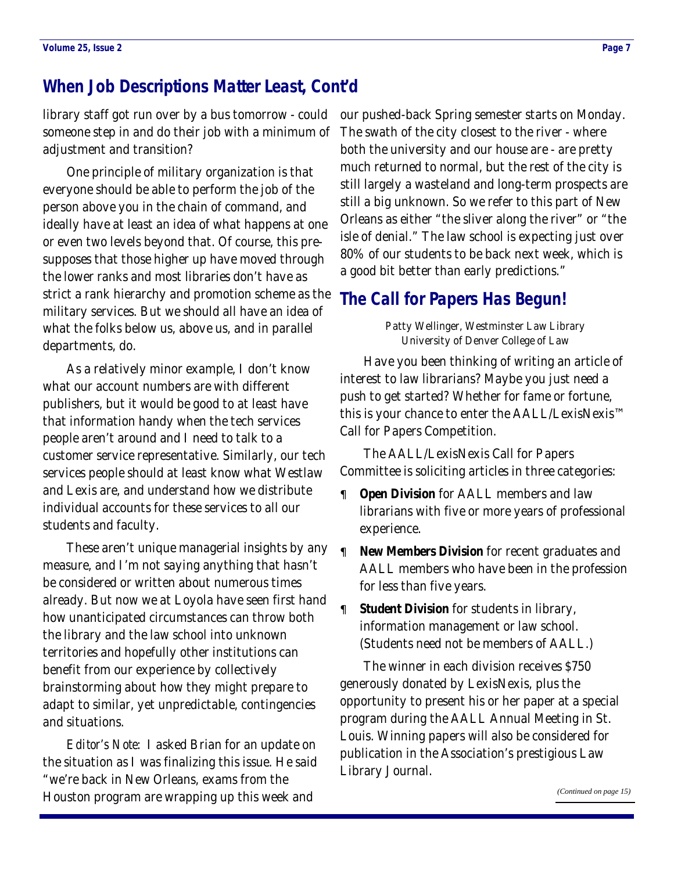### <span id="page-6-0"></span>**When Job Descriptions Matter Least, Cont'd**

someone step in and do their job with a minimum of adjustment and transition?

 One principle of military organization is that everyone should be able to perform the job of the person above you in the chain of command, and ideally have at least an idea of what happens at one or even two levels beyond that. Of course, this presupposes that those higher up have moved through the lower ranks and most libraries don't have as strict a rank hierarchy and promotion scheme as the military services. But we should all have an idea of what the folks below us, above us, and in parallel departments, do.

 As a relatively minor example, I don't know what our account numbers are with different publishers, but it would be good to at least have that information handy when the tech services people aren't around and I need to talk to a customer service representative. Similarly, our tech services people should at least know what Westlaw and Lexis are, and understand how we distribute individual accounts for these services to all our students and faculty.

 These aren't unique managerial insights by any measure, and I'm not saying anything that hasn't be considered or written about numerous times already. But now we at Loyola have seen first hand how unanticipated circumstances can throw both the library and the law school into unknown territories and hopefully other institutions can benefit from our experience by collectively brainstorming about how they might prepare to adapt to similar, yet unpredictable, contingencies and situations.

*Editor's Note*: I asked Brian for an update on the situation as I was finalizing this issue. He said "we're back in New Orleans, exams from the Houston program are wrapping up this week and

library staff got run over by a bus tomorrow - could our pushed-back Spring semester starts on Monday. The swath of the city closest to the river - where both the university and our house are - are pretty much returned to normal, but the rest of the city is still largely a wasteland and long-term prospects are still a big unknown. So we refer to this part of New Orleans as either "the sliver along the river" or "the isle of denial." The law school is expecting just over 80% of our students to be back next week, which is a good bit better than early predictions."

### **The Call for Papers Has Begun!**

Patty Wellinger, Westminster Law Library University of Denver College of Law

 Have you been thinking of writing an article of interest to law librarians? Maybe you just need a push to get started? Whether for fame or fortune, this is your chance to enter the AALL/LexisNexis™ Call for Papers Competition.

 The AALL/LexisNexis Call for Papers Committee is soliciting articles in three categories:

- **Open Division** for AALL members and law librarians with five or more years of professional experience.
- **New Members Division** for recent graduates and AALL members who have been in the profession for less than five years.
	- **Student Division** for students in library, information management or law school. (Students need not be members of AALL.)

 The winner in each division receives \$750 generously donated by LexisNexis, plus the opportunity to present his or her paper at a special program during the AALL Annual Meeting in St. Louis. Winning papers will also be considered for publication in the Association's prestigious Law Library Journal.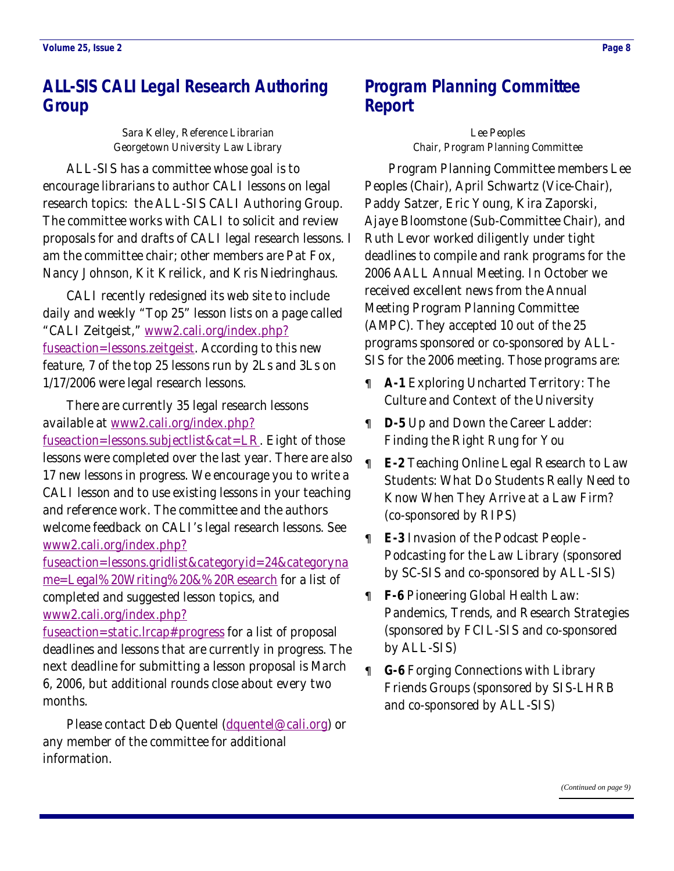# <span id="page-7-0"></span>**ALL-SIS CALI Legal Research Authoring Group**

Sara Kelley, Reference Librarian Georgetown University Law Library

 ALL-SIS has a committee whose goal is to encourage librarians to author CALI lessons on legal research topics: the ALL-SIS CALI Authoring Group. The committee works with CALI to solicit and review proposals for and drafts of CALI legal research lessons. I am the committee chair; other members are Pat Fox, Nancy Johnson, Kit Kreilick, and Kris Niedringhaus.

 CALI recently redesigned its web site to include daily and weekly "Top 25" lesson lists on a page called "CALI Zeitgeist," [www2.cali.org/index.php?](http://www2.cali.org/index.php?fuseaction=lessons.zeitgeist) [fuseaction=lessons.zeitgeist](http://www2.cali.org/index.php?fuseaction=lessons.zeitgeist). According to this new feature, 7 of the top 25 lessons run by 2Ls and 3Ls on 1/17/2006 were legal research lessons.

 There are currently 35 legal research lessons available at [www2.cali.org/index.php?](http://www2.cali.org/index.php?fuseaction=lessons.subjectlist&cat=LR) [fuseaction=lessons.subjectlist&cat=LR](http://www2.cali.org/index.php?fuseaction=lessons.subjectlist&cat=LR). Eight of those lessons were completed over the last year. There are also 17 new lessons in progress. We encourage you to write a CALI lesson and to use existing lessons in your teaching and reference work. The committee and the authors welcome feedback on CALI's legal research lessons. See [www2.cali.org/index.php?](http://www2.cali.org/index.php?fuseaction=lessons.gridlist&categoryid=24&categoryname=Legal%20Writing%20&%20Research)

[fuseaction=lessons.gridlist&categoryid=24&categoryna](http://www2.cali.org/index.php?fuseaction=lessons.gridlist&categoryid=24&categoryname=Legal%20Writing%20&%20Research) [me=Legal%20Writing%20&%20Research](http://www2.cali.org/index.php?fuseaction=lessons.gridlist&categoryid=24&categoryname=Legal%20Writing%20&%20Research) for a list of completed and suggested lesson topics, and [www2.cali.org/index.php?](http://www2.cali.org/index.php?fuseaction=static.lrcap#progress)

[fuseaction=static.lrcap#progress](http://www2.cali.org/index.php?fuseaction=static.lrcap#progress) for a list of proposal deadlines and lessons that are currently in progress. The next deadline for submitting a lesson proposal is March 6, 2006, but additional rounds close about every two months.

Please contact Deb Quentel ([dquentel@cali.org](mailto:dquentel@cali.org)) or any member of the committee for additional information.

# **Program Planning Committee Report**

Lee Peoples Chair, Program Planning Committee

 Program Planning Committee members Lee Peoples (Chair), April Schwartz (Vice-Chair), Paddy Satzer, Eric Young, Kira Zaporski, Ajaye Bloomstone (Sub-Committee Chair), and Ruth Levor worked diligently under tight deadlines to compile and rank programs for the 2006 AALL Annual Meeting. In October we received excellent news from the Annual Meeting Program Planning Committee (AMPC). They accepted 10 out of the 25 programs sponsored or co-sponsored by ALL-SIS for the 2006 meeting. Those programs are:

- **A-1** Exploring Uncharted Territory: The Culture and Context of the University
- **D-5** Up and Down the Career Ladder: Finding the Right Rung for You
- **E-2** Teaching Online Legal Research to Law Students: What Do Students Really Need to Know When They Arrive at a Law Firm? (co-sponsored by RIPS)
- **E-3** Invasion of the Podcast People Podcasting for the Law Library (sponsored by SC-SIS and co-sponsored by ALL-SIS)
- **F-6** Pioneering Global Health Law: Pandemics, Trends, and Research Strategies (sponsored by FCIL-SIS and co-sponsored by ALL-SIS)
- **G-6** Forging Connections with Library Friends Groups (sponsored by SIS-LHRB and co-sponsored by ALL-SIS)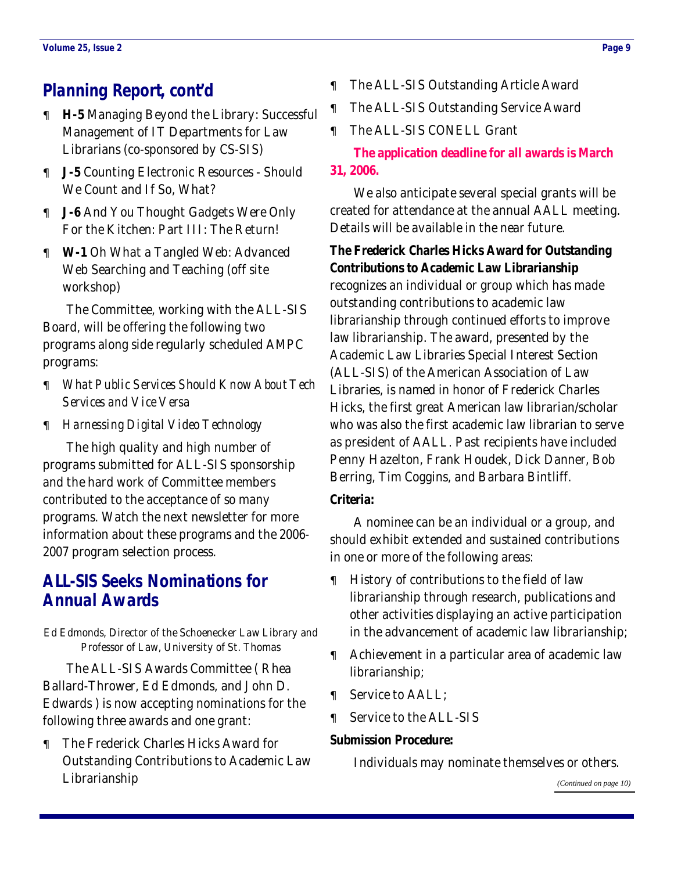# <span id="page-8-0"></span>**Planning Report, cont'd**

- **H-5** Managing Beyond the Library: Successful Management of IT Departments for Law Librarians (co-sponsored by CS-SIS)
- **J-5** Counting Electronic Resources Should We Count and If So, What?
- **J-6** And You Thought Gadgets Were Only For the Kitchen: Part III: The Return!
- **W-1** Oh What a Tangled Web: Advanced Web Searching and Teaching (off site workshop)

 The Committee, working with the ALL-SIS Board, will be offering the following two programs along side regularly scheduled AMPC programs:

- *What Public Services Should Know About Tech Services and Vice Versa*
- *Harnessing Digital Video Technology*

 The high quality and high number of programs submitted for ALL-SIS sponsorship and the hard work of Committee members contributed to the acceptance of so many programs. Watch the next newsletter for more information about these programs and the 2006- 2007 program selection process.

# **ALL-SIS Seeks Nominations for Annual Awards**

Ed Edmonds, Director of the Schoenecker Law Library and Professor of Law, University of St. Thomas

 The ALL-SIS Awards Committee ( Rhea Ballard-Thrower, Ed Edmonds, and John D. Edwards ) is now accepting nominations for the following three awards and one grant:

• The Frederick Charles Hicks Award for Outstanding Contributions to Academic Law Librarianship

- The ALL-SIS Outstanding Article Award
- The ALL-SIS Outstanding Service Award
- The ALL-SIS CONELL Grant

**The application deadline for all awards is March 31, 2006.**

 We also anticipate several special grants will be created for attendance at the annual AALL meeting. Details will be available in the near future.

**The Frederick Charles Hicks Award for Outstanding Contributions to Academic Law Librarianship** recognizes an individual or group which has made outstanding contributions to academic law librarianship through continued efforts to improve law librarianship. The award, presented by the Academic Law Libraries Special Interest Section (ALL-SIS) of the American Association of Law Libraries, is named in honor of Frederick Charles Hicks, the first great American law librarian/scholar who was also the first academic law librarian to serve as president of AALL. Past recipients have included Penny Hazelton, Frank Houdek, Dick Danner, Bob Berring, Tim Coggins, and Barbara Bintliff.

### **Criteria:**

 A nominee can be an individual or a group, and should exhibit extended and sustained contributions in one or more of the following areas:

- History of contributions to the field of law librarianship through research, publications and other activities displaying an active participation in the advancement of academic law librarianship;
- Achievement in a particular area of academic law librarianship;
- Service to AALL;
- Service to the ALL-SIS

### **Submission Procedure:**

Individuals may nominate themselves or others.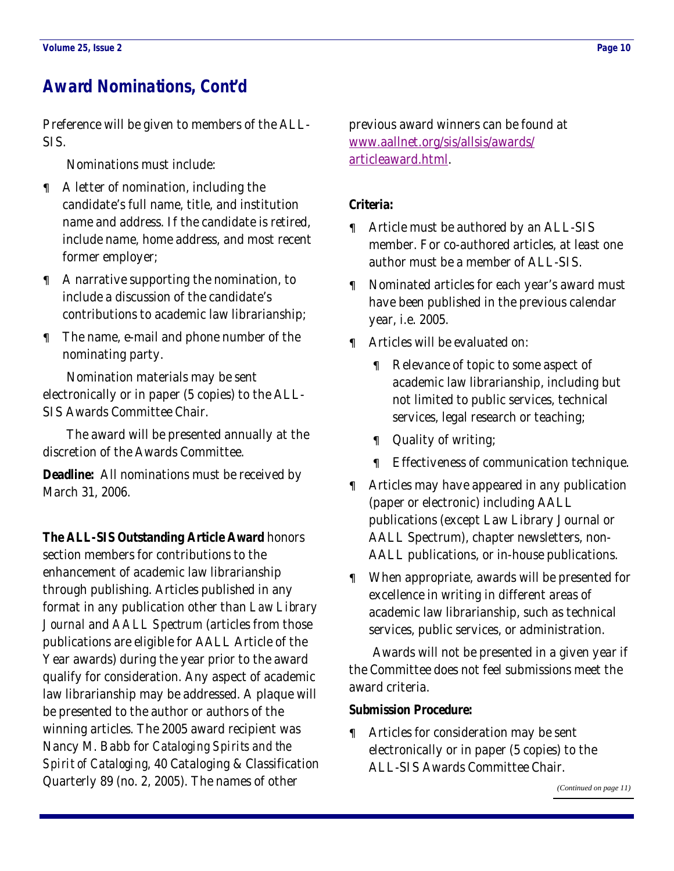# <span id="page-9-0"></span>**Award Nominations, Cont'd**

Preference will be given to members of the ALL-SIS.

Nominations must include:

- A letter of nomination, including the candidate's full name, title, and institution name and address. If the candidate is retired, include name, home address, and most recent former employer;
- A narrative supporting the nomination, to include a discussion of the candidate's contributions to academic law librarianship;
- The name, e-mail and phone number of the nominating party.

 Nomination materials may be sent electronically or in paper (5 copies) to the ALL-SIS Awards Committee Chair.

 The award will be presented annually at the discretion of the Awards Committee.

**Deadline:** All nominations must be received by March 31, 2006.

**The ALL-SIS Outstanding Article Award** honors section members for contributions to the enhancement of academic law librarianship through publishing. Articles published in any format in any publication other than *Law Library Journal* and *AALL Spectrum* (articles from those publications are eligible for AALL Article of the Year awards) during the year prior to the award qualify for consideration. Any aspect of academic law librarianship may be addressed. A plaque will be presented to the author or authors of the winning articles. The 2005 award recipient was Nancy M. Babb for *Cataloging Spirits and the Spirit of Cataloging*, 40 Cataloging & Classification Quarterly 89 (no. 2, 2005). The names of other

previous award winners can be found at [www.aallnet.org/sis/allsis/awards/](http://www.aallnet.org/sis/allsis/awards/articleaward.html) [articleaward.html](http://www.aallnet.org/sis/allsis/awards/articleaward.html).

### **Criteria:**

- Article must be authored by an ALL-SIS member. For co-authored articles, at least one author must be a member of ALL-SIS.
- Nominated articles for each year's award must have been published in the previous calendar year, i.e. 2005.
- Articles will be evaluated on:
	- Relevance of topic to some aspect of academic law librarianship, including but not limited to public services, technical services, legal research or teaching;
	- Quality of writing;
	- Effectiveness of communication technique.
- Articles may have appeared in any publication (paper or electronic) including AALL publications (except Law Library Journal or AALL Spectrum), chapter newsletters, non-AALL publications, or in-house publications.
- When appropriate, awards will be presented for excellence in writing in different areas of academic law librarianship, such as technical services, public services, or administration.

 Awards will not be presented in a given year if the Committee does not feel submissions meet the award criteria.

#### **Submission Procedure:**

• Articles for consideration may be sent electronically or in paper (5 copies) to the ALL-SIS Awards Committee Chair.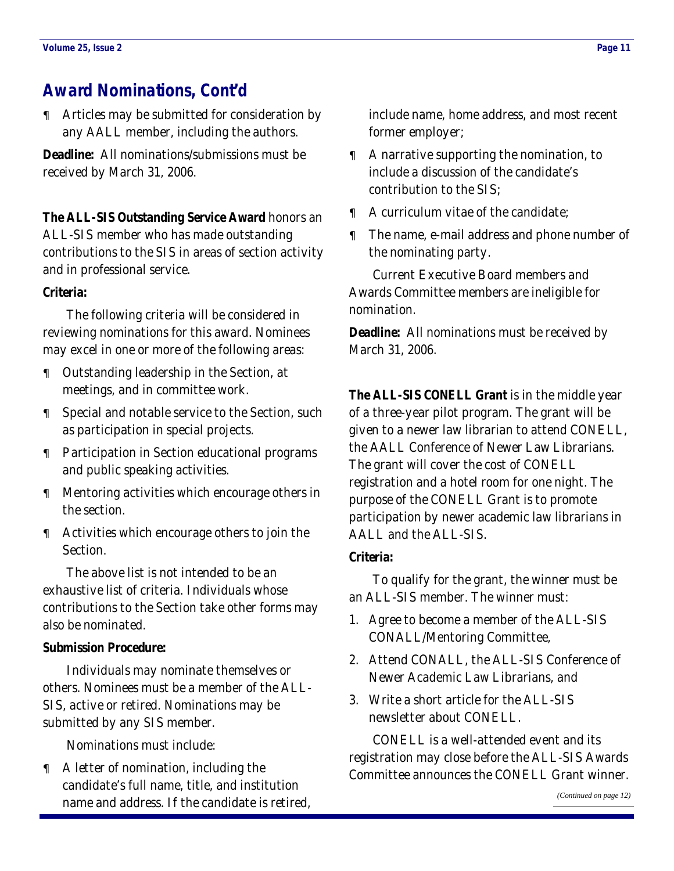# <span id="page-10-0"></span>**Award Nominations, Cont'd**

• Articles may be submitted for consideration by any AALL member, including the authors.

**Deadline:** All nominations/submissions must be received by March 31, 2006.

**The ALL-SIS Outstanding Service Award** honors an ALL-SIS member who has made outstanding contributions to the SIS in areas of section activity and in professional service.

### **Criteria:**

 The following criteria will be considered in reviewing nominations for this award. Nominees may excel in one or more of the following areas:

- Outstanding leadership in the Section, at meetings, and in committee work.
- Special and notable service to the Section, such as participation in special projects.
- Participation in Section educational programs and public speaking activities.
- Mentoring activities which encourage others in the section.
- Activities which encourage others to join the Section.

 The above list is not intended to be an exhaustive list of criteria. Individuals whose contributions to the Section take other forms may also be nominated.

#### **Submission Procedure:**

 Individuals may nominate themselves or others. Nominees must be a member of the ALL-SIS, active or retired. Nominations may be submitted by any SIS member.

Nominations must include:

• A letter of nomination, including the candidate's full name, title, and institution name and address. If the candidate is retired, include name, home address, and most recent former employer;

- A narrative supporting the nomination, to include a discussion of the candidate's contribution to the SIS;
- A curriculum vitae of the candidate;
- The name, e-mail address and phone number of the nominating party.

 Current Executive Board members and Awards Committee members are ineligible for nomination.

**Deadline:** All nominations must be received by March 31, 2006.

**The ALL-SIS CONELL Grant** is in the middle year of a three-year pilot program. The grant will be given to a newer law librarian to attend CONELL, the AALL Conference of Newer Law Librarians. The grant will cover the cost of CONELL registration and a hotel room for one night. The purpose of the CONELL Grant is to promote participation by newer academic law librarians in AALL and the ALL-SIS.

#### **Criteria:**

 To qualify for the grant, the winner must be an ALL-SIS member. The winner must:

- 1. Agree to become a member of the ALL-SIS CONALL/Mentoring Committee,
- 2. Attend CONALL, the ALL-SIS Conference of Newer Academic Law Librarians, and
- 3. Write a short article for the ALL-SIS newsletter about CONELL.

 CONELL is a well-attended event and its registration may close before the ALL-SIS Awards Committee announces the CONELL Grant winner.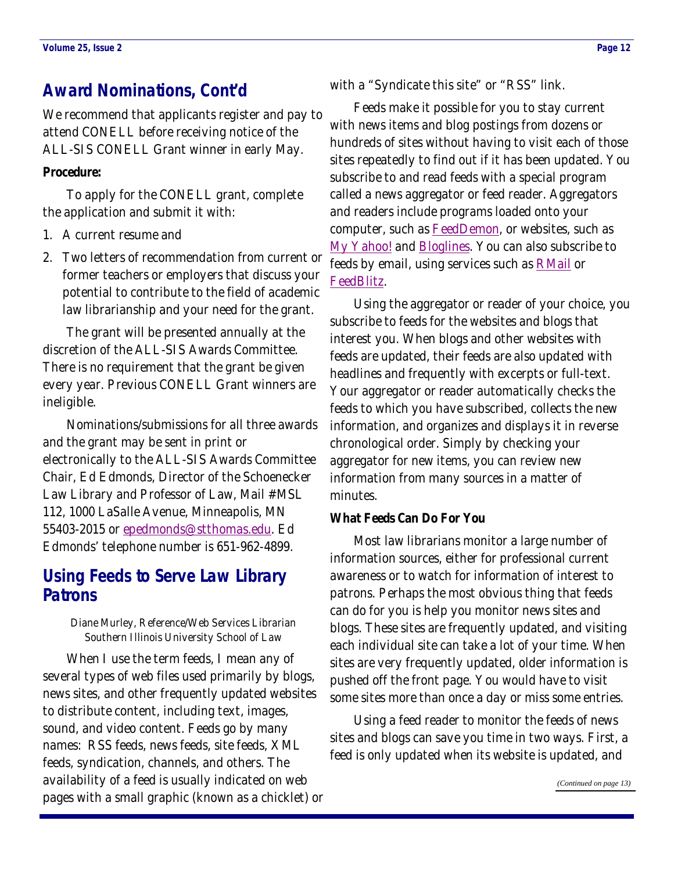# <span id="page-11-0"></span>**Award Nominations, Cont'd**

We recommend that applicants register and pay to attend CONELL before receiving notice of the ALL-SIS CONELL Grant winner in early May.

### **Procedure:**

 To apply for the CONELL grant, complete the application and submit it with:

- 1. A current resume and
- 2. Two letters of recommendation from current or former teachers or employers that discuss your potential to contribute to the field of academic law librarianship and your need for the grant.

 The grant will be presented annually at the discretion of the ALL-SIS Awards Committee. There is no requirement that the grant be given every year. Previous CONELL Grant winners are ineligible.

 Nominations/submissions for all three awards and the grant may be sent in print or electronically to the ALL-SIS Awards Committee Chair, Ed Edmonds, Director of the Schoenecker Law Library and Professor of Law, Mail #MSL 112, 1000 LaSalle Avenue, Minneapolis, MN 55403-2015 or [epedmonds@stthomas.edu](mailto:epedmonds@stthomas.edu). Ed Edmonds' telephone number is 651-962-4899.

# **Using Feeds to Serve Law Library Patrons**

Diane Murley, Reference/Web Services Librarian Southern Illinois University School of Law

 When I use the term feeds, I mean any of several types of web files used primarily by blogs, news sites, and other frequently updated websites to distribute content, including text, images, sound, and video content. Feeds go by many names: RSS feeds, news feeds, site feeds, XML feeds, syndication, channels, and others. The availability of a feed is usually indicated on web pages with a small graphic (known as a chicklet) or

with a "Syndicate this site" or "RSS" link.

 Feeds make it possible for you to stay current with news items and blog postings from dozens or hundreds of sites without having to visit each of those sites repeatedly to find out if it has been updated. You subscribe to and read feeds with a special program called a news aggregator or feed reader. Aggregators and readers include programs loaded onto your computer, such as [FeedDemon](http://www.feeddemon.com/), or websites, such as [My Yahoo!](http://my.yahoo.com/) and [Bloglines](http://www.bloglines.com/). You can also subscribe to feeds by email, using services such as **RMail** or [FeedBlitz](http://www.feedblitz.com/).

 Using the aggregator or reader of your choice, you subscribe to feeds for the websites and blogs that interest you. When blogs and other websites with feeds are updated, their feeds are also updated with headlines and frequently with excerpts or full-text. Your aggregator or reader automatically checks the feeds to which you have subscribed, collects the new information, and organizes and displays it in reverse chronological order. Simply by checking your aggregator for new items, you can review new information from many sources in a matter of minutes.

#### **What Feeds Can Do For You**

 Most law librarians monitor a large number of information sources, either for professional current awareness or to watch for information of interest to patrons. Perhaps the most obvious thing that feeds can do for you is help you monitor news sites and blogs. These sites are frequently updated, and visiting each individual site can take a lot of your time. When sites are very frequently updated, older information is pushed off the front page. You would have to visit some sites more than once a day or miss some entries.

 Using a feed reader to monitor the feeds of news sites and blogs can save you time in two ways. First, a feed is only updated when its website is updated, and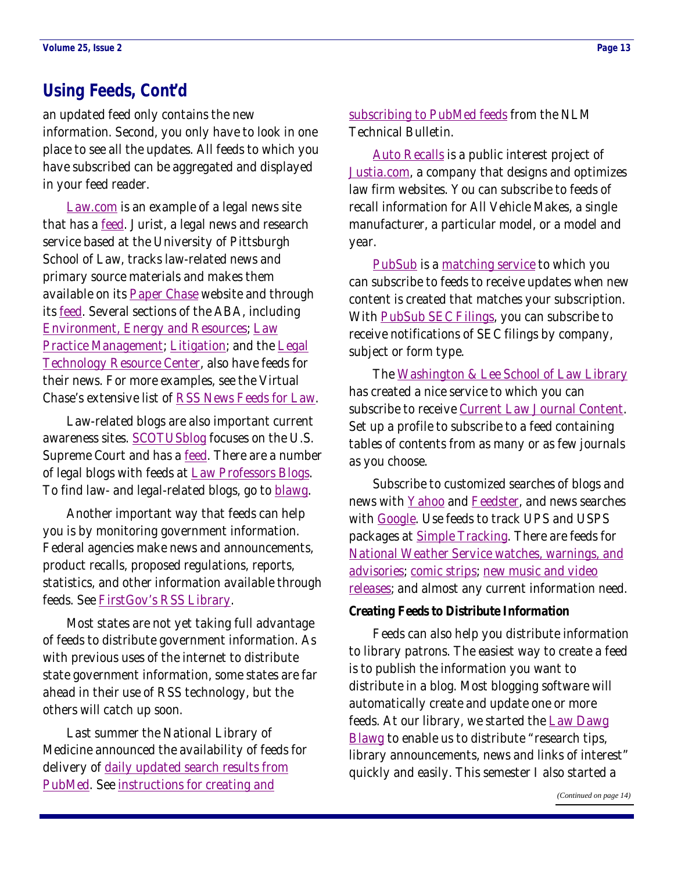### <span id="page-12-0"></span>**Using Feeds, Cont'd**

an updated feed only contains the new information. Second, you only have to look in one place to see all the updates. All feeds to which you have subscribed can be aggregated and displayed in your feed reader.

[Law.com](http://www.law.com) is an example of a legal news site that has a **feed**. Jurist, a legal news and research service based at the University of Pittsburgh School of Law, tracks law-related news and primary source materials and makes them available on its **[Paper Chase](http://jurist.law.pitt.edu/paperchase/)** website and through its **feed**. Several sections of the ABA, including [Environment, Energy and Resources](http://www.abanet.org/environ/); [Law](http://www.abanet.org/lpm/)  [Practice Management](http://www.abanet.org/lpm/); [Litigation](http://www.abanet.org/litigation/); and the [Legal](http://www.abanet.org/tech/ltrc/)  [Technology Resource Center](http://www.abanet.org/tech/ltrc/), also have feeds for their news. For more examples, see the Virtual Chase's extensive list of [RSS News Feeds for Law](http://www.virtualchase.com/resources/rss_law.html).

 Law-related blogs are also important current awareness sites. **SCOTUSblog** focuses on the U.S. Supreme Court and has a [feed](http://www.scotusblog.com/movabletype/index.xml). There are a number of legal blogs with feeds at [Law Professors Blogs](http://www.lawprofessorblogs.com/). To find law- and legal-related blogs, go to [blawg](http://www.blawg.org/).

 Another important way that feeds can help you is by monitoring government information. Federal agencies make news and announcements, product recalls, proposed regulations, reports, statistics, and other information available through feeds. See [FirstGov's RSS Library](http://www.firstgov.gov/Topics/Reference_Shelf/Libraries/RSS_Library.shtml).

 Most states are not yet taking full advantage of feeds to distribute government information. As with previous uses of the internet to distribute state government information, some states are far ahead in their use of RSS technology, but the others will catch up soon.

 Last summer the National Library of Medicine announced the availability of feeds for delivery of daily updated search results from [PubMed](http://www.ncbi.nlm.nih.gov/entrez/query.fcgi?DB=pubmed). See [instructions for creating and](http://www.nlm.nih.gov/pubs/techbull/mj05/mj05_rss.html) 

[subscribing to PubMed feeds](http://www.nlm.nih.gov/pubs/techbull/mj05/mj05_rss.html) from the NLM Technical Bulletin.

[Auto Recalls](http://auto-recalls.justia.com/) is a public interest project of [Justia.com](http://www.justia.com/), a company that designs and optimizes law firm websites. You can subscribe to feeds of recall information for All Vehicle Makes, a single manufacturer, a particular model, or a model and year.

[PubSub](http://www.pubsub.com/index.php) is a [matching service](http://www.pubsub.com/about.php) to which you can subscribe to feeds to receive updates when new content is created that matches your subscription. With [PubSub SEC Filings](http://www.pubsub.com/edgar.php), you can subscribe to receive notifications of SEC filings by company, subject or form type.

The [Washington & Lee School of Law Library](http://law.wlu.edu/library/) has created a nice service to which you can subscribe to receive [Current Law Journal Content](http://law.wlu.edu/library/CLJC/index.asp). Set up a profile to subscribe to a feed containing tables of contents from as many or as few journals as you choose.

 Subscribe to customized searches of blogs and news with [Yahoo](http://alerts.yahoo.com/) and [Feedster](http://www.feedster.com/), and news searches with [Google](http://news.google.com/intl/en_us/news_feed_terms.html). Use feeds to track UPS and USPS packages at [Simple Tracking](http://www.simpletracking.com/). There are feeds for [National Weather Service watches, warnings, and](http://www.weather.gov/alerts/)  [advisories](http://www.weather.gov/alerts/); [comic strips](http://www.tapestrycomics.com/); [new music and video](http://shopping.yahoo.com/rss/)  [releases](http://shopping.yahoo.com/rss/); and almost any current information need.

### **Creating Feeds to Distribute Information**

 Feeds can also help you distribute information to library patrons. The easiest way to create a feed is to publish the information you want to distribute in a blog. Most blogging software will automatically create and update one or more feeds. At our library, we started the [Law Dawg](http://lawdawglib.blogspot.com/)  [Blawg](http://lawdawglib.blogspot.com/) to enable us to distribute "research tips, library announcements, news and links of interest" quickly and easily. This semester I also started a

*[\(Continued on page 14\)](#page-13-0)*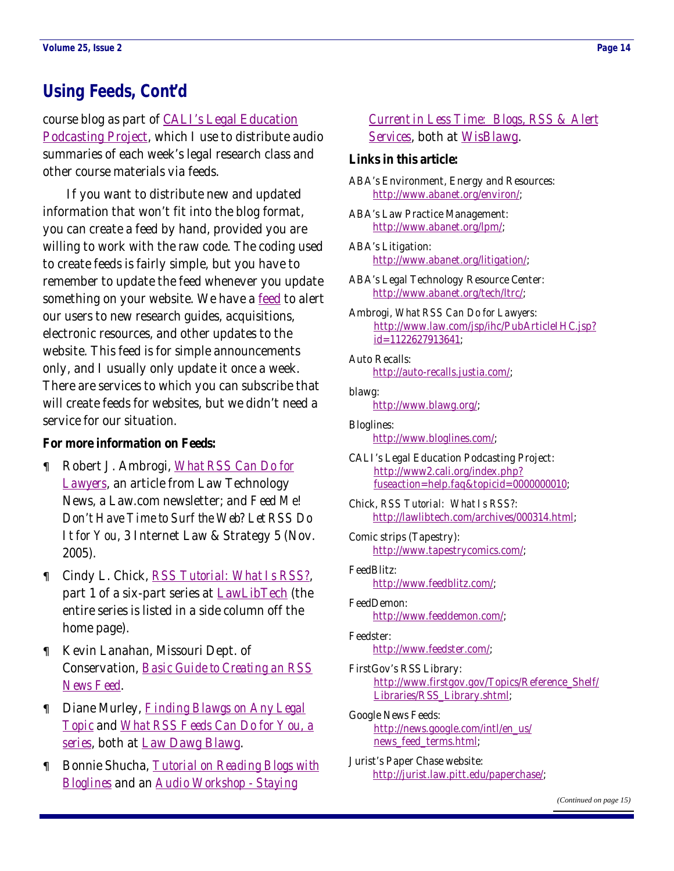# <span id="page-13-0"></span>**Using Feeds, Cont'd**

course blog as part of [CALI's Legal Education](http://www2.cali.org/index.php?fuseaction=help.faq&topicid=0000000010)  [Podcasting Project](http://www2.cali.org/index.php?fuseaction=help.faq&topicid=0000000010), which I use to distribute audio summaries of each week's legal research class and other course materials via feeds.

 If you want to distribute new and updated information that won't fit into the blog format, you can create a feed by hand, provided you are willing to work with the raw code. The coding used to create feeds is fairly simple, but you have to remember to update the feed whenever you update something on your website. We have a [feed](http://feeds.feedburner.com/LawDawgBlawg) to alert our users to new research guides, acquisitions, electronic resources, and other updates to the website. This feed is for simple announcements only, and I usually only update it once a week. There are services to which you can subscribe that will create feeds for websites, but we didn't need a service for our situation.

#### **For more information on Feeds:**

- Robert J. Ambrogi, *[What RSS Can Do for](http://www.law.com/jsp/ihc/PubArticleIHC.jsp?id=1122627913641)  [Lawyers](http://www.law.com/jsp/ihc/PubArticleIHC.jsp?id=1122627913641)*, an article from Law Technology News, a Law.com newsletter; and *Feed Me! Don't Have Time to Surf the Web? Let RSS Do It for You*, 3 Internet Law & Strategy 5 (Nov. 2005).
- Cindy L. Chick, *[RSS Tutorial: What Is RSS?](http://lawlibtech.com/archives/000314.html)*, part 1 of a six-part series at [LawLibTech](http://www.lawlibtech.com/) (the entire series is listed in a side column off the home page).
- Kevin Lanahan, Missouri Dept. of Conservation, *[Basic Guide to Creating an RSS](http://www.oa.mo.gov/dmd/tutorials/BasicGuide-RSSNewsFeed.shtml)  [News Feed](http://www.oa.mo.gov/dmd/tutorials/BasicGuide-RSSNewsFeed.shtml)*.
- Diane Murley, *[Finding Blawgs on Any Legal](http://lawdawglib.blogspot.com/2005/02/finding-blawgs-on-any-legal-topic.html)  [Topic](http://lawdawglib.blogspot.com/2005/02/finding-blawgs-on-any-legal-topic.html)* and *[What RSS Feeds Can Do for You, a](http://lawdawglib.blogspot.com/2005/12/what-rss-feeds-can-do-for-yourecap.html)  [series](http://lawdawglib.blogspot.com/2005/12/what-rss-feeds-can-do-for-yourecap.html)*, both at [Law Dawg Blawg](http://lawdawglib.blogspot.com/).
- Bonnie Shucha, *[Tutorial on Reading Blogs with](http://wisblawg.blogspot.com/2004/09/tutorial-on-reading-blogs-with.html)  [Bloglines](http://wisblawg.blogspot.com/2004/09/tutorial-on-reading-blogs-with.html)* and an *[Audio Workshop - Staying](http://wisblawg.blogspot.com/2005/04/audio-workshop-staying-current-in-less.html)*

### *[Current in Less Time: Blogs, RSS & Alert](http://wisblawg.blogspot.com/2005/04/audio-workshop-staying-current-in-less.html)  [Services](http://wisblawg.blogspot.com/2005/04/audio-workshop-staying-current-in-less.html)*, both at [WisBlawg](http://wisblawg.blogspot.com/).

#### **Links in this article:**

ABA's Environment, Energy and Resources: [http://www.abanet.org/environ/;](http://www.abanet.org/environ/)

- ABA's Law Practice Management: <http://www.abanet.org/lpm/>;
- ABA's Litigation: [http://www.abanet.org/litigation/;](http://www.abanet.org/litigation/)

ABA's Legal Technology Resource Center: <http://www.abanet.org/tech/ltrc/>;

Ambrogi, *What RSS Can Do for Lawyers*: [http://www.law.com/jsp/ihc/PubArticleIHC.jsp?](http://www.law.com/jsp/ihc/PubArticleIHC.jsp?id=1122627913641) [id=1122627913641](http://www.law.com/jsp/ihc/PubArticleIHC.jsp?id=1122627913641);

Auto Recalls: <http://auto-recalls.justia.com/>;

#### blawg:

<http://www.blawg.org/>;

- Bloglines: <http://www.bloglines.com/>;
- CALI's Legal Education Podcasting Project: [http://www2.cali.org/index.php?](http://www2.cali.org/index.php?fuseaction=help.faq&topicid=0000000010) [fuseaction=help.faq&topicid=0000000010](http://www2.cali.org/index.php?fuseaction=help.faq&topicid=0000000010);
- Chick, *RSS Tutorial: What Is RSS?*: <http://lawlibtech.com/archives/000314.html>;
- Comic strips (Tapestry): <http://www.tapestrycomics.com/>;
- FeedBlitz: <http://www.feedblitz.com/>;
- FeedDemon: <http://www.feeddemon.com/>;
- Feedster: <http://www.feedster.com/>;
- FirstGov's RSS Library: [http://www.firstgov.gov/Topics/Reference\\_Shelf/](http://www.firstgov.gov/Topics/Reference_Shelf/Libraries/RSS_Library.shtml) [Libraries/RSS\\_Library.shtml;](http://www.firstgov.gov/Topics/Reference_Shelf/Libraries/RSS_Library.shtml)
- Google News Feeds: [http://news.google.com/intl/en\\_us/](http://news.google.com/intl/en_us/news_feed_terms.html) news feed terms.html;
- Jurist's Paper Chase website: <http://jurist.law.pitt.edu/paperchase/>;

*[\(Continued on page 15\)](#page-14-0)*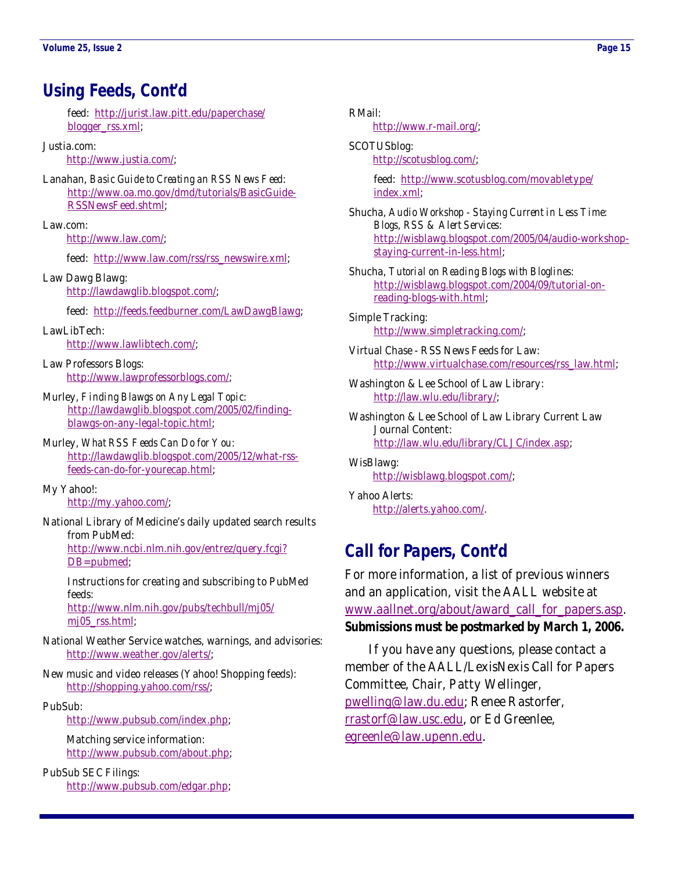# <span id="page-14-0"></span>**Using Feeds, Cont'd**

 feed: [http://jurist.law.pitt.edu/paperchase/](http://jurist.law.pitt.edu/paperchase/blogger_rss.xml) [blogger\\_rss.xml](http://jurist.law.pitt.edu/paperchase/blogger_rss.xml);

#### Justia.com:

<http://www.justia.com/>;

Lanahan, *Basic Guide to Creating an RSS News Feed*: [http://www.oa.mo.gov/dmd/tutorials/BasicGuide-](http://www.oa.mo.gov/dmd/tutorials/BasicGuide-RSSNewsFeed.shtml)[RSSNewsFeed.shtml;](http://www.oa.mo.gov/dmd/tutorials/BasicGuide-RSSNewsFeed.shtml)

Law.com:

<http://www.law.com/>;

feed: [http://www.law.com/rss/rss\\_newswire.xml](http://www.law.com/rss/rss_newswire.xml);

Law Dawg Blawg: <http://lawdawglib.blogspot.com/>;

feed: <http://feeds.feedburner.com/LawDawgBlawg>;

LawLibTech: <http://www.lawlibtech.com/>;

Law Professors Blogs: <http://www.lawprofessorblogs.com/>;

Murley, *Finding Blawgs on Any Legal Topic*: [http://lawdawglib.blogspot.com/2005/02/finding](http://lawdawglib.blogspot.com/2005/02/finding-blawgs-on-any-legal-topic.html)[blawgs-on-any-legal-topic.html;](http://lawdawglib.blogspot.com/2005/02/finding-blawgs-on-any-legal-topic.html)

Murley, *What RSS Feeds Can Do for You*: [http://lawdawglib.blogspot.com/2005/12/what-rss](http://lawdawglib.blogspot.com/2005/12/what-rss-feeds-can-do-for-yourecap.html)[feeds-can-do-for-yourecap.html;](http://lawdawglib.blogspot.com/2005/12/what-rss-feeds-can-do-for-yourecap.html)

My Yahoo!: <http://my.yahoo.com/>;

National Library of Medicine's daily updated search results from PubMed: [http://www.ncbi.nlm.nih.gov/entrez/query.fcgi?](http://www.ncbi.nlm.nih.gov/entrez/query.fcgi?DB=pubmed)

[DB=pubmed](http://www.ncbi.nlm.nih.gov/entrez/query.fcgi?DB=pubmed);

 Instructions for creating and subscribing to PubMed feeds: [http://www.nlm.nih.gov/pubs/techbull/mj05/](http://www.nlm.nih.gov/pubs/techbull/mj05/mj05_rss.html)

mj05 rss.html;

- National Weather Service watches, warnings, and advisories: <http://www.weather.gov/alerts/>;
- New music and video releases (Yahoo! Shopping feeds): <http://shopping.yahoo.com/rss/>;
- PubSub:

<http://www.pubsub.com/index.php>;

 Matching service information: <http://www.pubsub.com/about.php>;

PubSub SEC Filings: <http://www.pubsub.com/edgar.php>; RMail:

<http://www.r-mail.org/>;

SCOTUSblog: <http://scotusblog.com/>;

> feed: [http://www.scotusblog.com/movabletype/](http://www.scotusblog.com/movabletype/index.xml) [index.xml;](http://www.scotusblog.com/movabletype/index.xml)

Shucha, *Audio Workshop - Staying Current in Less Time: Blogs, RSS & Alert Services*: [http://wisblawg.blogspot.com/2005/04/audio-workshop](http://wisblawg.blogspot.com/2005/04/audio-workshop-staying-current-in-less.html)[staying-current-in-less.html;](http://wisblawg.blogspot.com/2005/04/audio-workshop-staying-current-in-less.html)

Shucha, *Tutorial on Reading Blogs with Bloglines*: [http://wisblawg.blogspot.com/2004/09/tutorial-on](http://wisblawg.blogspot.com/2004/09/tutorial-on-reading-blogs-with.html)[reading-blogs-with.html;](http://wisblawg.blogspot.com/2004/09/tutorial-on-reading-blogs-with.html)

Simple Tracking: <http://www.simpletracking.com/>;

Virtual Chase - RSS News Feeds for Law: [http://www.virtualchase.com/resources/rss\\_law.html](http://www.virtualchase.com/resources/rss_law.html);

- Washington & Lee School of Law Library: <http://law.wlu.edu/library/>;
- Washington & Lee School of Law Library Current Law Journal Content: [http://law.wlu.edu/library/CLJC/index.asp;](http://law.wlu.edu/library/CLJC/index.asp)

WisBlawg: <http://wisblawg.blogspot.com/>;

Yahoo Alerts: <http://alerts.yahoo.com/>.

### **Call for Papers, Cont'd**

For more information, a list of previous winners and an application, visit the AALL website at [www.aallnet.org/about/award\\_call\\_for\\_papers.asp](http://www.aallnet.org/about/award_call_for_papers.asp). **Submissions must be postmarked by March 1, 2006.**

 If you have any questions, please contact a member of the AALL/LexisNexis Call for Papers Committee, Chair, Patty Wellinger, [pwelling@law.du.edu](mailto:pwelling@law.du.edu); Renee Rastorfer, [rrastorf@law.usc.edu](mailto:rrastorf@law.usc.edu), or Ed Greenlee, [egreenle@law.upenn.edu](mailto:egreenle@law.upenn.edu).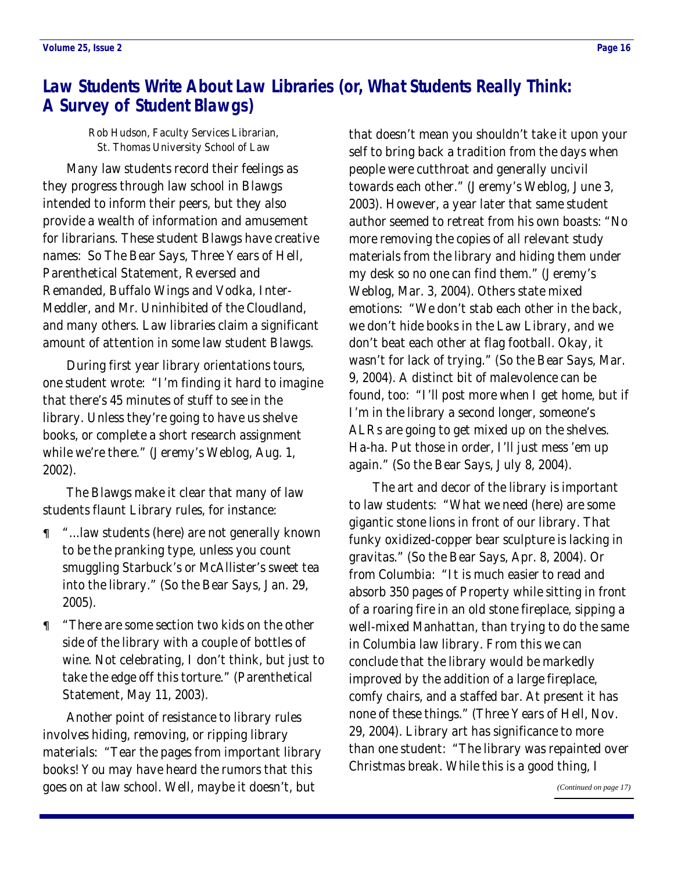# <span id="page-15-0"></span>**Law Students Write About Law Libraries (or, What Students Really Think: A Survey of Student Blawgs)**

Rob Hudson, Faculty Services Librarian, St. Thomas University School of Law

 Many law students record their feelings as they progress through law school in Blawgs intended to inform their peers, but they also provide a wealth of information and amusement for librarians. These student Blawgs have creative names: So The Bear Says, Three Years of Hell, Parenthetical Statement, Reversed and Remanded, Buffalo Wings and Vodka, Inter-Meddler, and Mr. Uninhibited of the Cloudland, and many others. Law libraries claim a significant amount of attention in some law student Blawgs.

 During first year library orientations tours, one student wrote: "I'm finding it hard to imagine that there's 45 minutes of stuff to see in the library. Unless they're going to have us shelve books, or complete a short research assignment while we're there." (Jeremy's Weblog, Aug. 1, 2002).

 The Blawgs make it clear that many of law students flaunt Library rules, for instance:

- "...law students (here) are not generally known to be the pranking type, unless you count smuggling Starbuck's or McAllister's sweet tea into the library." (So the Bear Says, Jan. 29, 2005).
- "There are some section two kids on the other side of the library with a couple of bottles of wine. Not celebrating, I don't think, but just to take the edge off this torture." (Parenthetical Statement, May 11, 2003).

 Another point of resistance to library rules involves hiding, removing, or ripping library materials: "Tear the pages from important library books! You may have heard the rumors that this goes on at law school. Well, maybe it doesn't, but

that doesn't mean you shouldn't take it upon your self to bring back a tradition from the days when people were cutthroat and generally uncivil towards each other." (Jeremy's Weblog, June 3, 2003). However, a year later that same student author seemed to retreat from his own boasts: "No more removing the copies of all relevant study materials from the library and hiding them under my desk so no one can find them." (Jeremy's Weblog, Mar. 3, 2004). Others state mixed emotions: "We don't stab each other in the back, we don't hide books in the Law Library, and we don't beat each other at flag football. Okay, it wasn't for lack of trying." (So the Bear Says, Mar. 9, 2004). A distinct bit of malevolence can be found, too: "I'll post more when I get home, but if I'm in the library a second longer, someone's ALRs are going to get mixed up on the shelves. Ha-ha. Put those in order, I'll just mess 'em up again." (So the Bear Says, July 8, 2004).

 The art and decor of the library is important to law students: "What we need (here) are some gigantic stone lions in front of our library. That funky oxidized-copper bear sculpture is lacking in gravitas." (So the Bear Says, Apr. 8, 2004). Or from Columbia: "It is much easier to read and absorb 350 pages of Property while sitting in front of a roaring fire in an old stone fireplace, sipping a well-mixed Manhattan, than trying to do the same in Columbia law library. From this we can conclude that the library would be markedly improved by the addition of a large fireplace, comfy chairs, and a staffed bar. At present it has none of these things." (Three Years of Hell, Nov. 29, 2004). Library art has significance to more than one student: "The library was repainted over Christmas break. While this is a good thing, I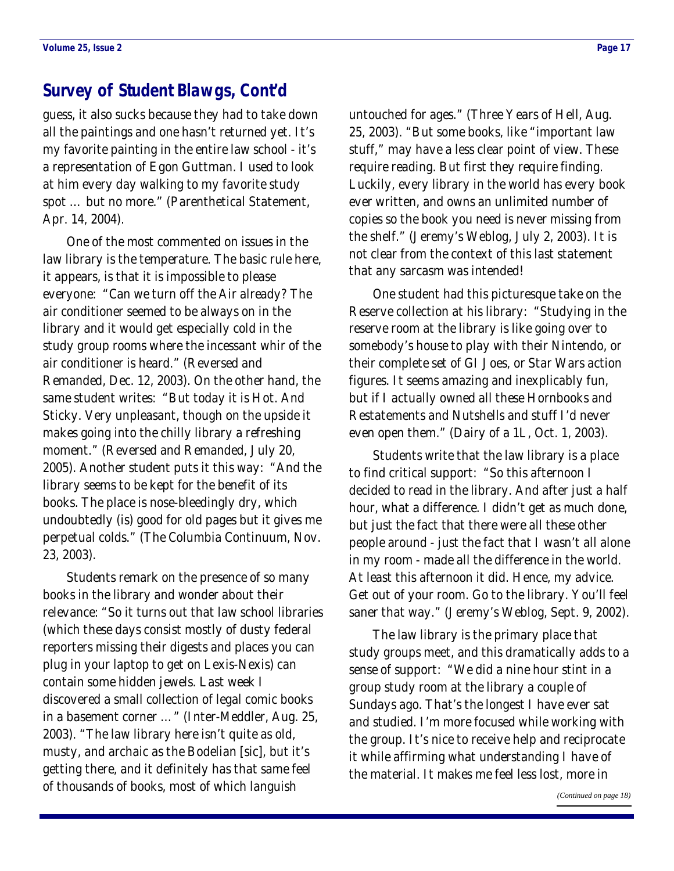### <span id="page-16-0"></span>**Survey of Student Blawgs, Cont'd**

guess, it also sucks because they had to take down all the paintings and one hasn't returned yet. It's my favorite painting in the entire law school - it's a representation of Egon Guttman. I used to look at him every day walking to my favorite study spot … but no more." (Parenthetical Statement, Apr. 14, 2004).

 One of the most commented on issues in the law library is the temperature. The basic rule here, it appears, is that it is impossible to please everyone: "Can we turn off the Air already? The air conditioner seemed to be always on in the library and it would get especially cold in the study group rooms where the incessant whir of the air conditioner is heard." (Reversed and Remanded, Dec. 12, 2003). On the other hand, the same student writes: "But today it is Hot. And Sticky. Very unpleasant, though on the upside it makes going into the chilly library a refreshing moment." (Reversed and Remanded, July 20, 2005). Another student puts it this way: "And the library seems to be kept for the benefit of its books. The place is nose-bleedingly dry, which undoubtedly (is) good for old pages but it gives me perpetual colds." (The Columbia Continuum, Nov. 23, 2003).

 Students remark on the presence of so many books in the library and wonder about their relevance: "So it turns out that law school libraries (which these days consist mostly of dusty federal reporters missing their digests and places you can plug in your laptop to get on Lexis-Nexis) can contain some hidden jewels. Last week I discovered a small collection of legal comic books in a basement corner …" (Inter-Meddler, Aug. 25, 2003). "The law library here isn't quite as old, musty, and archaic as the Bodelian [sic], but it's getting there, and it definitely has that same feel of thousands of books, most of which languish

untouched for ages." (Three Years of Hell, Aug. 25, 2003). "But some books, like "important law stuff," may have a less clear point of view. These require reading. But first they require finding. Luckily, every library in the world has every book ever written, and owns an unlimited number of copies so the book you need is never missing from the shelf." (Jeremy's Weblog, July 2, 2003). It is not clear from the context of this last statement that any sarcasm was intended!

 One student had this picturesque take on the Reserve collection at his library: "Studying in the reserve room at the library is like going over to somebody's house to play with their Nintendo, or their complete set of GI Joes, or Star Wars action figures. It seems amazing and inexplicably fun, but if I actually owned all these Hornbooks and Restatements and Nutshells and stuff I'd never even open them." (Dairy of a 1L, Oct. 1, 2003).

 Students write that the law library is a place to find critical support: "So this afternoon I decided to read in the library. And after just a half hour, what a difference. I didn't get as much done, but just the fact that there were all these other people around - just the fact that I wasn't all alone in my room - made all the difference in the world. At least this afternoon it did. Hence, my advice. Get out of your room. Go to the library. You'll feel saner that way." (Jeremy's Weblog, Sept. 9, 2002).

 The law library is the primary place that study groups meet, and this dramatically adds to a sense of support: "We did a nine hour stint in a group study room at the library a couple of Sundays ago. That's the longest I have ever sat and studied. I'm more focused while working with the group. It's nice to receive help and reciprocate it while affirming what understanding I have of the material. It makes me feel less lost, more in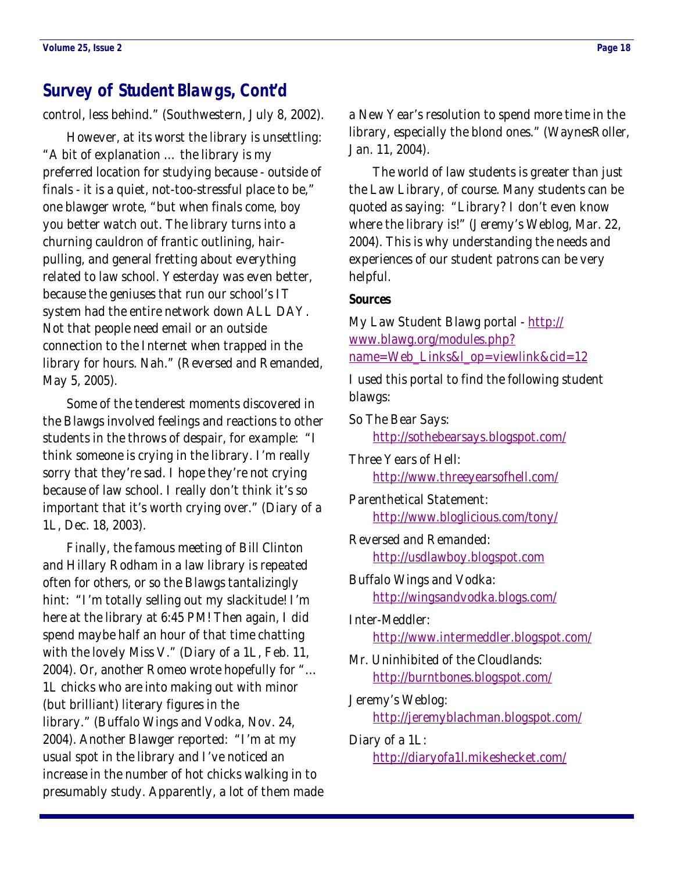### <span id="page-17-0"></span>**Survey of Student Blawgs, Cont'd**

control, less behind." (Southwestern, July 8, 2002).

 However, at its worst the library is unsettling: "A bit of explanation … the library is my preferred location for studying because - outside of finals - it is a quiet, not-too-stressful place to be," one blawger wrote, "but when finals come, boy you better watch out. The library turns into a churning cauldron of frantic outlining, hairpulling, and general fretting about everything related to law school. Yesterday was even better, because the geniuses that run our school's IT system had the entire network down ALL DAY. Not that people need email or an outside connection to the Internet when trapped in the library for hours. Nah." (Reversed and Remanded, May 5, 2005).

 Some of the tenderest moments discovered in the Blawgs involved feelings and reactions to other students in the throws of despair, for example: "I think someone is crying in the library. I'm really sorry that they're sad. I hope they're not crying because of law school. I really don't think it's so important that it's worth crying over." (Diary of a 1L, Dec. 18, 2003).

 Finally, the famous meeting of Bill Clinton and Hillary Rodham in a law library is repeated often for others, or so the Blawgs tantalizingly hint: "I'm totally selling out my slackitude! I'm here at the library at 6:45 PM! Then again, I did spend maybe half an hour of that time chatting with the lovely Miss V." (Diary of a 1L, Feb. 11, 2004). Or, another Romeo wrote hopefully for "… 1L chicks who are into making out with minor (but brilliant) literary figures in the library." (Buffalo Wings and Vodka, Nov. 24, 2004). Another Blawger reported: "I'm at my usual spot in the library and I've noticed an increase in the number of hot chicks walking in to presumably study. Apparently, a lot of them made a New Year's resolution to spend more time in the library, especially the blond ones." (WaynesRoller, Jan. 11, 2004).

 The world of law students is greater than just the Law Library, of course. Many students can be quoted as saying: "Library? I don't even know where the library is!" (Jeremy's Weblog, Mar. 22, 2004). This is why understanding the needs and experiences of our student patrons can be very helpful.

#### **Sources**

My Law Student Blawg portal - [http://](http://www.blawg.org/modules.php?name=Web_Links&l_op=viewlink&cid=12) [www.blawg.org/modules.php?](http://www.blawg.org/modules.php?name=Web_Links&l_op=viewlink&cid=12) [name=Web\\_Links&l\\_op=viewlink&cid=12](http://www.blawg.org/modules.php?name=Web_Links&l_op=viewlink&cid=12)

I used this portal to find the following student blawgs:

So The Bear Says: <http://sothebearsays.blogspot.com/>

Three Years of Hell: <http://www.threeyearsofhell.com/>

Parenthetical Statement: <http://www.bloglicious.com/tony/>

Reversed and Remanded: <http://usdlawboy.blogspot.com>

Buffalo Wings and Vodka: <http://wingsandvodka.blogs.com/>

Inter-Meddler: <http://www.intermeddler.blogspot.com/>

Mr. Uninhibited of the Cloudlands: <http://burntbones.blogspot.com/>

Jeremy's Weblog: <http://jeremyblachman.blogspot.com/>

Diary of a 1L: <http://diaryofa1l.mikeshecket.com/>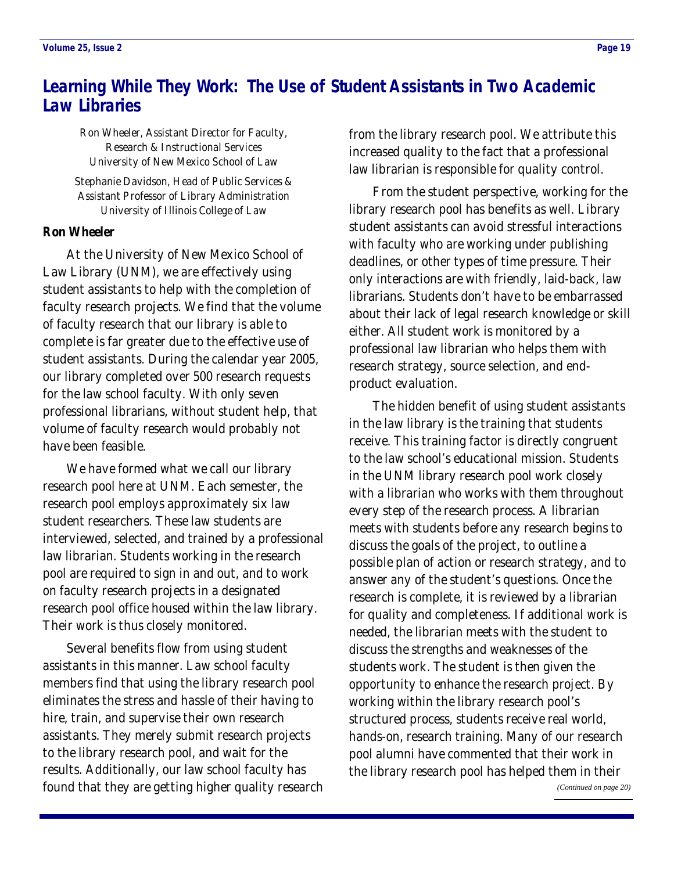# <span id="page-18-0"></span>**Learning While They Work: The Use of Student Assistants in Two Academic Law Libraries**

Ron Wheeler, Assistant Director for Faculty, Research & Instructional Services University of New Mexico School of Law

Stephanie Davidson, Head of Public Services & Assistant Professor of Library Administration University of Illinois College of Law

#### **Ron Wheeler**

 At the University of New Mexico School of Law Library (UNM), we are effectively using student assistants to help with the completion of faculty research projects. We find that the volume of faculty research that our library is able to complete is far greater due to the effective use of student assistants. During the calendar year 2005, our library completed over 500 research requests for the law school faculty. With only seven professional librarians, without student help, that volume of faculty research would probably not have been feasible.

 We have formed what we call our library research pool here at UNM. Each semester, the research pool employs approximately six law student researchers. These law students are interviewed, selected, and trained by a professional law librarian. Students working in the research pool are required to sign in and out, and to work on faculty research projects in a designated research pool office housed within the law library. Their work is thus closely monitored.

 Several benefits flow from using student assistants in this manner. Law school faculty members find that using the library research pool eliminates the stress and hassle of their having to hire, train, and supervise their own research assistants. They merely submit research projects to the library research pool, and wait for the results. Additionally, our law school faculty has found that they are getting higher quality research

from the library research pool. We attribute this increased quality to the fact that a professional law librarian is responsible for quality control.

 From the student perspective, working for the library research pool has benefits as well. Library student assistants can avoid stressful interactions with faculty who are working under publishing deadlines, or other types of time pressure. Their only interactions are with friendly, laid-back, law librarians. Students don't have to be embarrassed about their lack of legal research knowledge or skill either. All student work is monitored by a professional law librarian who helps them with research strategy, source selection, and endproduct evaluation.

 The hidden benefit of using student assistants in the law library is the training that students receive. This training factor is directly congruent to the law school's educational mission. Students in the UNM library research pool work closely with a librarian who works with them throughout every step of the research process. A librarian meets with students before any research begins to discuss the goals of the project, to outline a possible plan of action or research strategy, and to answer any of the student's questions. Once the research is complete, it is reviewed by a librarian for quality and completeness. If additional work is needed, the librarian meets with the student to discuss the strengths and weaknesses of the students work. The student is then given the opportunity to enhance the research project. By working within the library research pool's structured process, students receive real world, hands-on, research training. Many of our research pool alumni have commented that their work in the library research pool has helped them in their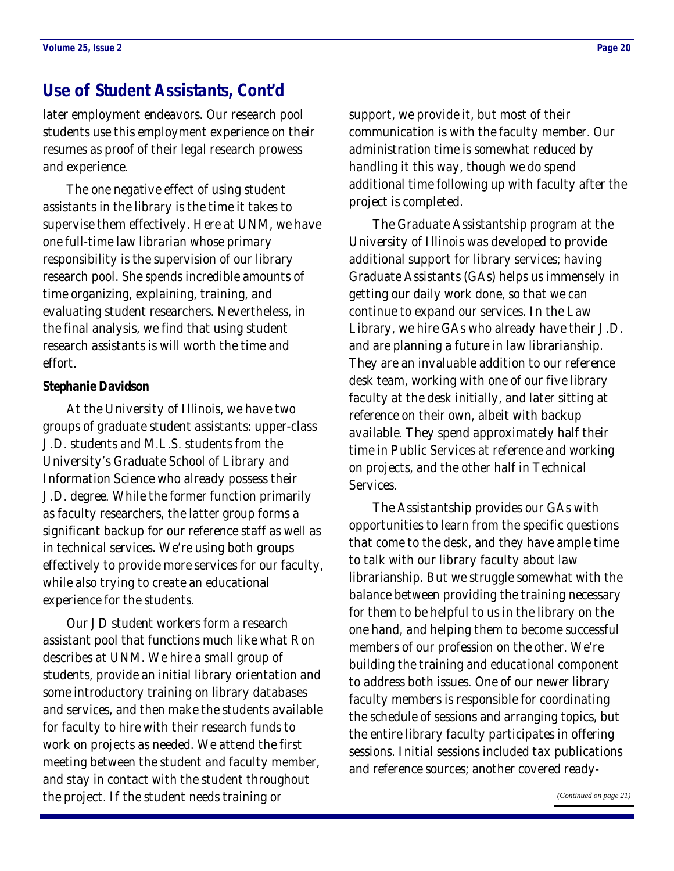### <span id="page-19-0"></span>**Use of Student Assistants, Cont'd**

later employment endeavors. Our research pool students use this employment experience on their resumes as proof of their legal research prowess and experience.

 The one negative effect of using student assistants in the library is the time it takes to supervise them effectively. Here at UNM, we have one full-time law librarian whose primary responsibility is the supervision of our library research pool. She spends incredible amounts of time organizing, explaining, training, and evaluating student researchers. Nevertheless, in the final analysis, we find that using student research assistants is will worth the time and effort.

#### **Stephanie Davidson**

 At the University of Illinois, we have two groups of graduate student assistants: upper-class J.D. students and M.L.S. students from the University's Graduate School of Library and Information Science who already possess their J.D. degree. While the former function primarily as faculty researchers, the latter group forms a significant backup for our reference staff as well as in technical services. We're using both groups effectively to provide more services for our faculty, while also trying to create an educational experience for the students.

 Our JD student workers form a research assistant pool that functions much like what Ron describes at UNM. We hire a small group of students, provide an initial library orientation and some introductory training on library databases and services, and then make the students available for faculty to hire with their research funds to work on projects as needed. We attend the first meeting between the student and faculty member, and stay in contact with the student throughout the project. If the student needs training or

support, we provide it, but most of their communication is with the faculty member. Our administration time is somewhat reduced by handling it this way, though we do spend additional time following up with faculty after the project is completed.

 The Graduate Assistantship program at the University of Illinois was developed to provide additional support for library services; having Graduate Assistants (GAs) helps us immensely in getting our daily work done, so that we can continue to expand our services. In the Law Library, we hire GAs who already have their J.D. and are planning a future in law librarianship. They are an invaluable addition to our reference desk team, working with one of our five library faculty at the desk initially, and later sitting at reference on their own, albeit with backup available. They spend approximately half their time in Public Services at reference and working on projects, and the other half in Technical Services.

 The Assistantship provides our GAs with opportunities to learn from the specific questions that come to the desk, and they have ample time to talk with our library faculty about law librarianship. But we struggle somewhat with the balance between providing the training necessary for them to be helpful to us in the library on the one hand, and helping them to become successful members of our profession on the other. We're building the training and educational component to address both issues. One of our newer library faculty members is responsible for coordinating the schedule of sessions and arranging topics, but the entire library faculty participates in offering sessions. Initial sessions included tax publications and reference sources; another covered ready-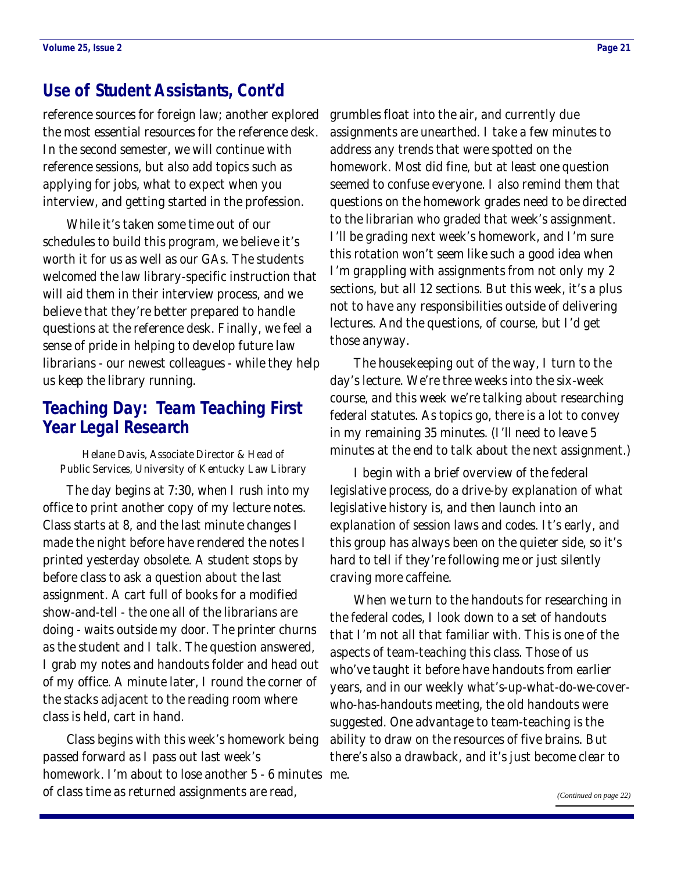### <span id="page-20-0"></span>**Use of Student Assistants, Cont'd**

reference sources for foreign law; another explored the most essential resources for the reference desk. In the second semester, we will continue with reference sessions, but also add topics such as applying for jobs, what to expect when you interview, and getting started in the profession.

 While it's taken some time out of our schedules to build this program, we believe it's worth it for us as well as our GAs. The students welcomed the law library-specific instruction that will aid them in their interview process, and we believe that they're better prepared to handle questions at the reference desk. Finally, we feel a sense of pride in helping to develop future law librarians - our newest colleagues - while they help us keep the library running.

### **Teaching Day: Team Teaching First Year Legal Research**

Helane Davis, Associate Director & Head of Public Services, University of Kentucky Law Library

 The day begins at 7:30, when I rush into my office to print another copy of my lecture notes. Class starts at 8, and the last minute changes I made the night before have rendered the notes I printed yesterday obsolete. A student stops by before class to ask a question about the last assignment. A cart full of books for a modified show-and-tell - the one all of the librarians are doing - waits outside my door. The printer churns as the student and I talk. The question answered, I grab my notes and handouts folder and head out of my office. A minute later, I round the corner of the stacks adjacent to the reading room where class is held, cart in hand.

 Class begins with this week's homework being passed forward as I pass out last week's homework. I'm about to lose another 5 - 6 minutes me. of class time as returned assignments are read,

grumbles float into the air, and currently due assignments are unearthed. I take a few minutes to address any trends that were spotted on the homework. Most did fine, but at least one question seemed to confuse everyone. I also remind them that questions on the homework grades need to be directed to the librarian who graded that week's assignment. I'll be grading next week's homework, and I'm sure this rotation won't seem like such a good idea when I'm grappling with assignments from not only my 2 sections, but all 12 sections. But this week, it's a plus not to have any responsibilities outside of delivering lectures. And the questions, of course, but I'd get those anyway.

 The housekeeping out of the way, I turn to the day's lecture. We're three weeks into the six-week course, and this week we're talking about researching federal statutes. As topics go, there is a lot to convey in my remaining 35 minutes. (I'll need to leave 5 minutes at the end to talk about the next assignment.)

 I begin with a brief overview of the federal legislative process, do a drive-by explanation of what legislative history is, and then launch into an explanation of session laws and codes. It's early, and this group has always been on the quieter side, so it's hard to tell if they're following me or just silently craving more caffeine.

 When we turn to the handouts for researching in the federal codes, I look down to a set of handouts that I'm not all that familiar with. This is one of the aspects of team-teaching this class. Those of us who've taught it before have handouts from earlier years, and in our weekly what's-up-what-do-we-coverwho-has-handouts meeting, the old handouts were suggested. One advantage to team-teaching is the ability to draw on the resources of five brains. But there's also a drawback, and it's just become clear to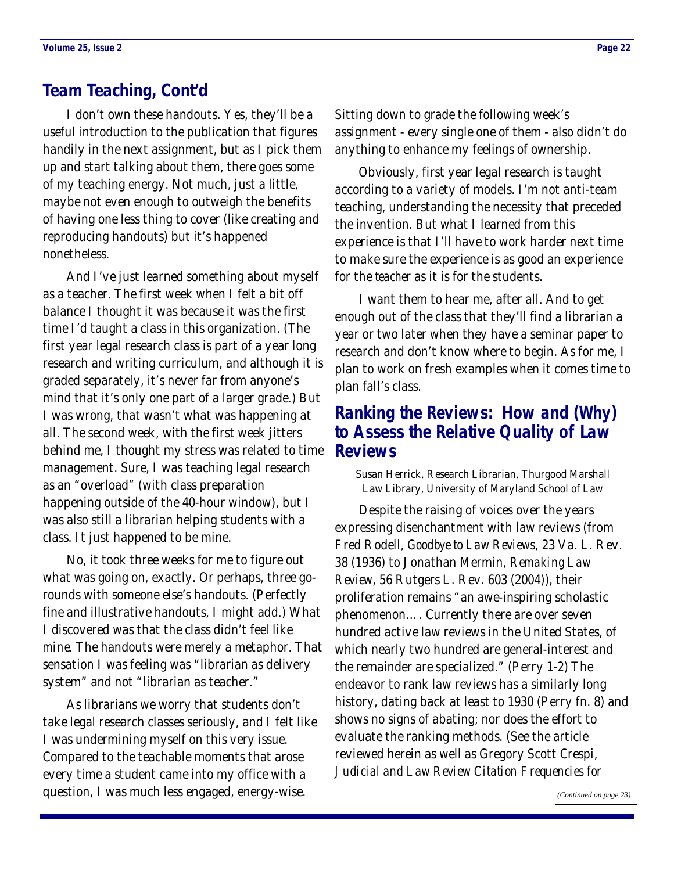### <span id="page-21-0"></span>**Team Teaching, Cont'd**

 I don't own these handouts. Yes, they'll be a useful introduction to the publication that figures handily in the next assignment, but as I pick them up and start talking about them, there goes some of my teaching energy. Not much, just a little, maybe not even enough to outweigh the benefits of having one less thing to cover (like creating and reproducing handouts) but it's happened nonetheless.

 And I've just learned something about myself as a teacher. The first week when I felt a bit off balance I thought it was because it was the first time I'd taught a class in this organization. (The first year legal research class is part of a year long research and writing curriculum, and although it is graded separately, it's never far from anyone's mind that it's only one part of a larger grade.) But I was wrong, that wasn't what was happening at all. The second week, with the first week jitters behind me, I thought my stress was related to time management. Sure, I was teaching legal research as an "overload" (with class preparation happening outside of the 40-hour window), but I was also still a librarian helping students with a class. It just happened to be mine.

 No, it took three weeks for me to figure out what was going on, exactly. Or perhaps, three gorounds with someone else's handouts. (Perfectly fine and illustrative handouts, I might add.) What I discovered was that the class didn't feel like *mine*. The handouts were merely a metaphor. That sensation I was feeling was "librarian as delivery system" and not "librarian as teacher."

 As librarians we worry that students don't take legal research classes seriously, and I felt like I was undermining myself on this very issue. Compared to the teachable moments that arose every time a student came into my office with a question, I was much less engaged, energy-wise.

Sitting down to grade the following week's assignment - every single one of them - also didn't do anything to enhance my feelings of ownership.

 Obviously, first year legal research is taught according to a variety of models. I'm not anti-team teaching, understanding the necessity that preceded the invention. But what I learned from this experience is that I'll have to work harder next time to make sure the experience is as good an experience for the *teacher* as it is for the students.

 I want them to hear me, after all. And to get enough out of the class that they'll find a librarian a year or two later when they have a seminar paper to research and don't know where to begin. As for me, I plan to work on fresh examples when it comes time to plan fall's class.

### **Ranking the Reviews: How and (Why) to Assess the Relative Quality of Law Reviews**

Susan Herrick, Research Librarian, Thurgood Marshall Law Library, University of Maryland School of Law

 Despite the raising of voices over the years expressing disenchantment with law reviews (from Fred Rodell, *Goodbye to Law Reviews*, 23 Va. L. Rev. 38 (1936) to Jonathan Mermin, *Remaking Law Review*, 56 Rutgers L. Rev. 603 (2004)), their proliferation remains "an awe-inspiring scholastic phenomenon…. Currently there are over seven hundred active law reviews in the United States, of which nearly two hundred are general-interest and the remainder are specialized." (Perry 1-2) The endeavor to rank law reviews has a similarly long history, dating back at least to 1930 (Perry fn. 8) and shows no signs of abating; nor does the effort to evaluate the ranking methods. (See the article reviewed herein as well as Gregory Scott Crespi, *Judicial and Law Review Citation Frequencies for*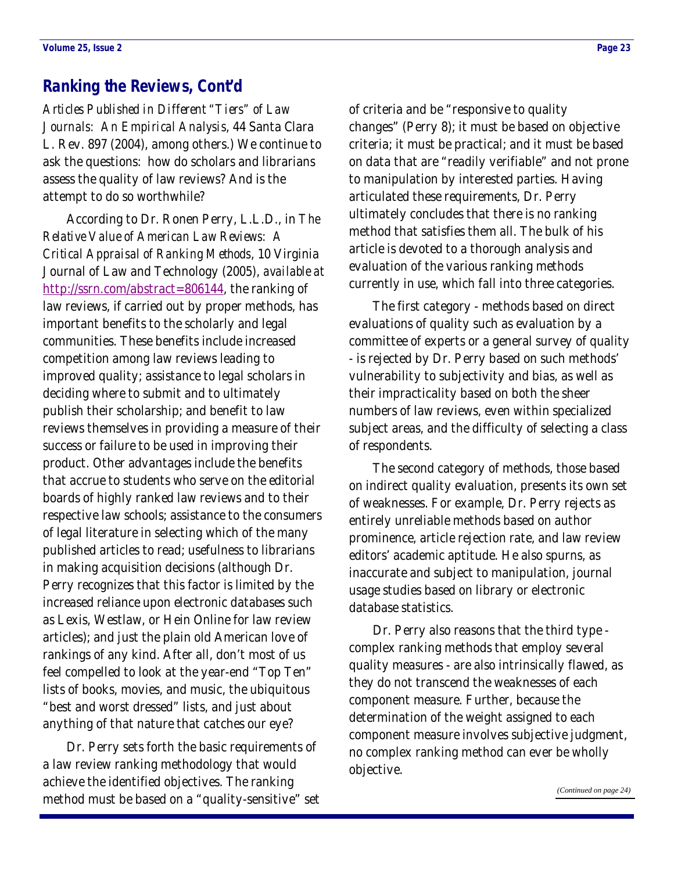### <span id="page-22-0"></span>**Ranking the Reviews, Cont'd**

*Articles Published in Different "Tiers" of Law Journals: An Empirical Analysis*, 44 Santa Clara L. Rev. 897 (2004), among others.) We continue to ask the questions: how do scholars and librarians assess the quality of law reviews? And is the attempt to do so worthwhile?

 According to Dr. Ronen Perry, L.L.D., in *The Relative Value of American Law Reviews: A Critical Appraisal of Ranking Methods*, 10 Virginia Journal of Law and Technology (2005), *available at* <http://ssrn.com/abstract=806144>, the ranking of law reviews, if carried out by proper methods, has important benefits to the scholarly and legal communities. These benefits include increased competition among law reviews leading to improved quality; assistance to legal scholars in deciding where to submit and to ultimately publish their scholarship; and benefit to law reviews themselves in providing a measure of their success or failure to be used in improving their product. Other advantages include the benefits that accrue to students who serve on the editorial boards of highly ranked law reviews and to their respective law schools; assistance to the consumers of legal literature in selecting which of the many published articles to read; usefulness to librarians in making acquisition decisions (although Dr. Perry recognizes that this factor is limited by the increased reliance upon electronic databases such as Lexis, Westlaw, or Hein Online for law review articles); and just the plain old American love of rankings of any kind. After all, don't most of us feel compelled to look at the year-end "Top Ten" lists of books, movies, and music, the ubiquitous "best and worst dressed" lists, and just about anything of that nature that catches our eye?

 Dr. Perry sets forth the basic requirements of a law review ranking methodology that would achieve the identified objectives. The ranking method must be based on a "quality-sensitive" set of criteria and be "responsive to quality changes" (Perry 8); it must be based on objective criteria; it must be practical; and it must be based on data that are "readily verifiable" and not prone to manipulation by interested parties. Having articulated these requirements, Dr. Perry ultimately concludes that there is no ranking method that satisfies them all. The bulk of his article is devoted to a thorough analysis and evaluation of the various ranking methods currently in use, which fall into three categories.

 The first category - methods based on direct evaluations of quality such as evaluation by a committee of experts or a general survey of quality - is rejected by Dr. Perry based on such methods' vulnerability to subjectivity and bias, as well as their impracticality based on both the sheer numbers of law reviews, even within specialized subject areas, and the difficulty of selecting a class of respondents.

 The second category of methods, those based on indirect quality evaluation, presents its own set of weaknesses. For example, Dr. Perry rejects as entirely unreliable methods based on author prominence, article rejection rate, and law review editors' academic aptitude. He also spurns, as inaccurate and subject to manipulation, journal usage studies based on library or electronic database statistics.

 Dr. Perry also reasons that the third type complex ranking methods that employ several quality measures - are also intrinsically flawed, as they do not transcend the weaknesses of each component measure. Further, because the determination of the weight assigned to each component measure involves subjective judgment, no complex ranking method can ever be wholly objective.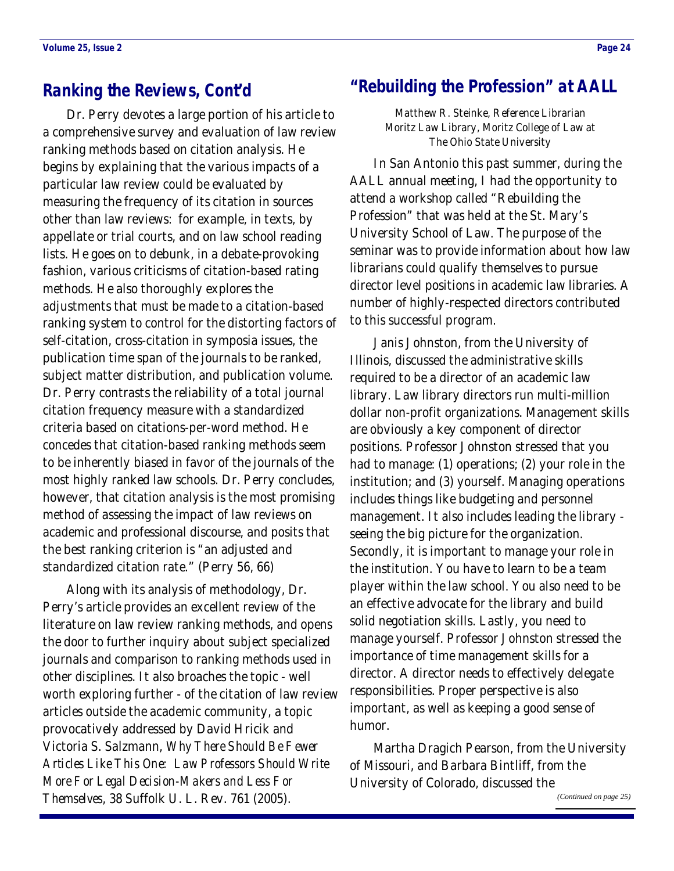### <span id="page-23-0"></span>**Ranking the Reviews, Cont'd**

 Dr. Perry devotes a large portion of his article to a comprehensive survey and evaluation of law review ranking methods based on citation analysis. He begins by explaining that the various impacts of a particular law review could be evaluated by measuring the frequency of its citation in sources other than law reviews: for example, in texts, by appellate or trial courts, and on law school reading lists. He goes on to debunk, in a debate-provoking fashion, various criticisms of citation-based rating methods. He also thoroughly explores the adjustments that must be made to a citation-based ranking system to control for the distorting factors of self-citation, cross-citation in symposia issues, the publication time span of the journals to be ranked, subject matter distribution, and publication volume. Dr. Perry contrasts the reliability of a total journal citation frequency measure with a standardized criteria based on citations-per-word method. He concedes that citation-based ranking methods seem to be inherently biased in favor of the journals of the most highly ranked law schools. Dr. Perry concludes, however, that citation analysis is the most promising method of assessing the impact of law reviews on academic and professional discourse, and posits that the best ranking criterion is "an adjusted and standardized citation rate." (Perry 56, 66)

 Along with its analysis of methodology, Dr. Perry's article provides an excellent review of the literature on law review ranking methods, and opens the door to further inquiry about subject specialized journals and comparison to ranking methods used in other disciplines. It also broaches the topic - well worth exploring further - of the citation of law review articles outside the academic community, a topic provocatively addressed by David Hricik and Victoria S. Salzmann, *Why There Should Be Fewer Articles Like This One: Law Professors Should Write More For Legal Decision-Makers and Less For Themselves*, 38 Suffolk U. L. Rev. 761 (2005).

### **"Rebuilding the Profession" at AALL**

Matthew R. Steinke, Reference Librarian Moritz Law Library, Moritz College of Law at The Ohio State University

 In San Antonio this past summer, during the AALL annual meeting, I had the opportunity to attend a workshop called "Rebuilding the Profession" that was held at the St. Mary's University School of Law. The purpose of the seminar was to provide information about how law librarians could qualify themselves to pursue director level positions in academic law libraries. A number of highly-respected directors contributed to this successful program.

 Janis Johnston, from the University of Illinois, discussed the administrative skills required to be a director of an academic law library. Law library directors run multi-million dollar non-profit organizations. Management skills are obviously a key component of director positions. Professor Johnston stressed that you had to manage: (1) operations; (2) your role in the institution; and (3) yourself. Managing operations includes things like budgeting and personnel management. It also includes leading the library seeing the big picture for the organization. Secondly, it is important to manage your role in the institution. You have to learn to be a team player within the law school. You also need to be an effective advocate for the library and build solid negotiation skills. Lastly, you need to manage yourself. Professor Johnston stressed the importance of time management skills for a director. A director needs to effectively delegate responsibilities. Proper perspective is also important, as well as keeping a good sense of humor.

 Martha Dragich Pearson, from the University of Missouri, and Barbara Bintliff, from the University of Colorado, discussed the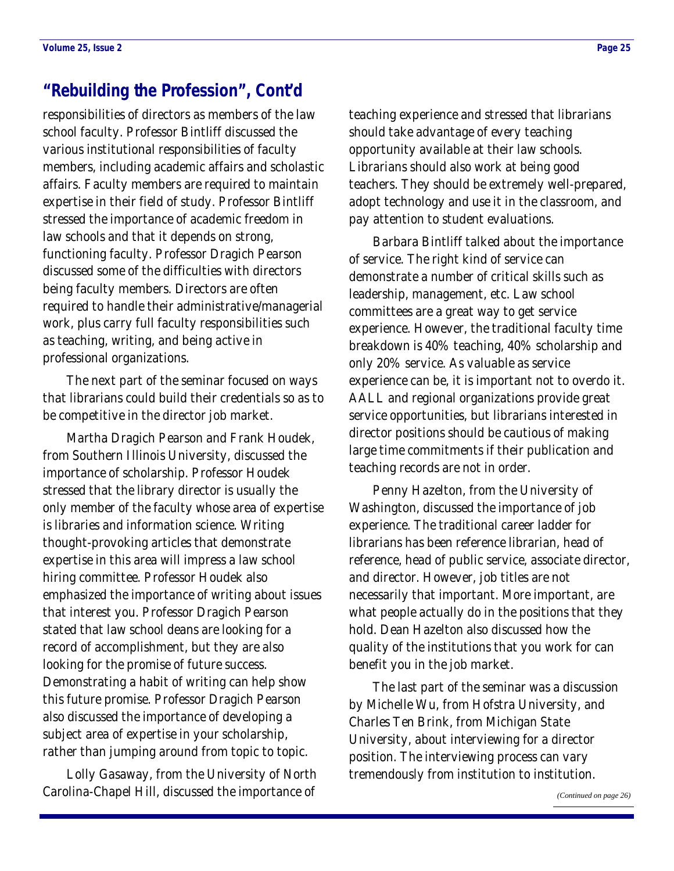### <span id="page-24-0"></span>**"Rebuilding the Profession", Cont'd**

responsibilities of directors as members of the law school faculty. Professor Bintliff discussed the various institutional responsibilities of faculty members, including academic affairs and scholastic affairs. Faculty members are required to maintain expertise in their field of study. Professor Bintliff stressed the importance of academic freedom in law schools and that it depends on strong, functioning faculty. Professor Dragich Pearson discussed some of the difficulties with directors being faculty members. Directors are often required to handle their administrative/managerial work, plus carry full faculty responsibilities such as teaching, writing, and being active in professional organizations.

 The next part of the seminar focused on ways that librarians could build their credentials so as to be competitive in the director job market.

 Martha Dragich Pearson and Frank Houdek, from Southern Illinois University, discussed the importance of scholarship. Professor Houdek stressed that the library director is usually the only member of the faculty whose area of expertise is libraries and information science. Writing thought-provoking articles that demonstrate expertise in this area will impress a law school hiring committee. Professor Houdek also emphasized the importance of writing about issues that interest you. Professor Dragich Pearson stated that law school deans are looking for a record of accomplishment, but they are also looking for the promise of future success. Demonstrating a habit of writing can help show this future promise. Professor Dragich Pearson also discussed the importance of developing a subject area of expertise in your scholarship, rather than jumping around from topic to topic.

 Lolly Gasaway, from the University of North Carolina-Chapel Hill, discussed the importance of

teaching experience and stressed that librarians should take advantage of every teaching opportunity available at their law schools. Librarians should also work at being good teachers. They should be extremely well-prepared, adopt technology and use it in the classroom, and pay attention to student evaluations.

 Barbara Bintliff talked about the importance of service. The right kind of service can demonstrate a number of critical skills such as leadership, management, etc. Law school committees are a great way to get service experience. However, the traditional faculty time breakdown is 40% teaching, 40% scholarship and only 20% service. As valuable as service experience can be, it is important not to overdo it. AALL and regional organizations provide great service opportunities, but librarians interested in director positions should be cautious of making large time commitments if their publication and teaching records are not in order.

 Penny Hazelton, from the University of Washington, discussed the importance of job experience. The traditional career ladder for librarians has been reference librarian, head of reference, head of public service, associate director, and director. However, job titles are not necessarily that important. More important, are what people actually do in the positions that they hold. Dean Hazelton also discussed how the quality of the institutions that you work for can benefit you in the job market.

 The last part of the seminar was a discussion by Michelle Wu, from Hofstra University, and Charles Ten Brink, from Michigan State University, about interviewing for a director position. The interviewing process can vary tremendously from institution to institution.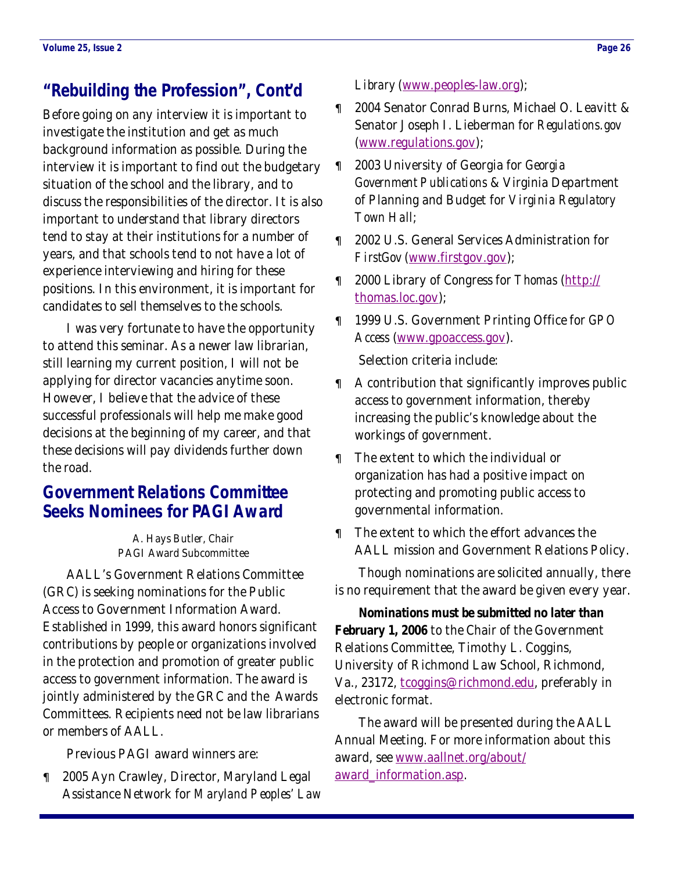# <span id="page-25-0"></span>**"Rebuilding the Profession", Cont'd**

Before going on any interview it is important to investigate the institution and get as much background information as possible. During the interview it is important to find out the budgetary situation of the school and the library, and to discuss the responsibilities of the director. It is also important to understand that library directors tend to stay at their institutions for a number of years, and that schools tend to not have a lot of experience interviewing and hiring for these positions. In this environment, it is important for candidates to sell themselves to the schools.

 I was very fortunate to have the opportunity to attend this seminar. As a newer law librarian, still learning my current position, I will not be applying for director vacancies anytime soon. However, I believe that the advice of these successful professionals will help me make good decisions at the beginning of my career, and that these decisions will pay dividends further down the road.

### **Government Relations Committee Seeks Nominees for PAGI Award**

A. Hays Butler, Chair PAGI Award Subcommittee

 AALL's Government Relations Committee (GRC) is seeking nominations for the Public Access to Government Information Award. Established in 1999, this award honors significant contributions by people or organizations involved in the protection and promotion of greater public access to government information. The award is jointly administered by the GRC and the Awards Committees. Recipients need not be law librarians or members of AALL.

Previous PAGI award winners are:

• 2005 Ayn Crawley, Director, Maryland Legal Assistance Network for *Maryland Peoples' Law*  *Library* ([www.peoples-law.org](http://www.peoples-law.org));

- 2004 Senator Conrad Burns, Michael O. Leavitt & Senator Joseph I. Lieberman for *Regulations.gov* [\(www.regulations.gov](http://www.regulations.gov));
- 2003 University of Georgia for *Georgia Government Publications* & Virginia Department of Planning and Budget for *Virginia Regulatory Town Hall*;
- 2002 U.S. General Services Administration for *FirstGov* ([www.firstgov.gov](http://www.firstgov.gov));
- 2000 Library of Congress for *Thomas* ([http://](http://thomas.loc.gov) [thomas.loc.gov](http://thomas.loc.gov));
- 1999 U.S. Government Printing Office for *GPO Access* [\(www.gpoaccess.gov](http://www.gpoaccess.gov)).

Selection criteria include:

- A contribution that significantly improves public access to government information, thereby increasing the public's knowledge about the workings of government.
- The extent to which the individual or organization has had a positive impact on protecting and promoting public access to governmental information.
- The extent to which the effort advances the AALL mission and Government Relations Policy.

 Though nominations are solicited annually, there is no requirement that the award be given every year.

**Nominations must be submitted no later than February 1, 2006** to the Chair of the Government Relations Committee, Timothy L. Coggins, University of Richmond Law School, Richmond, Va., 23172, [tcoggins@richmond.edu](mailto:tcoggins@richmond.edu), preferably in electronic format.

 The award will be presented during the AALL Annual Meeting. For more information about this award, see [www.aallnet.org/about/](http://www.aallnet.org/about/award_information.asp) [award\\_information.asp](http://www.aallnet.org/about/award_information.asp).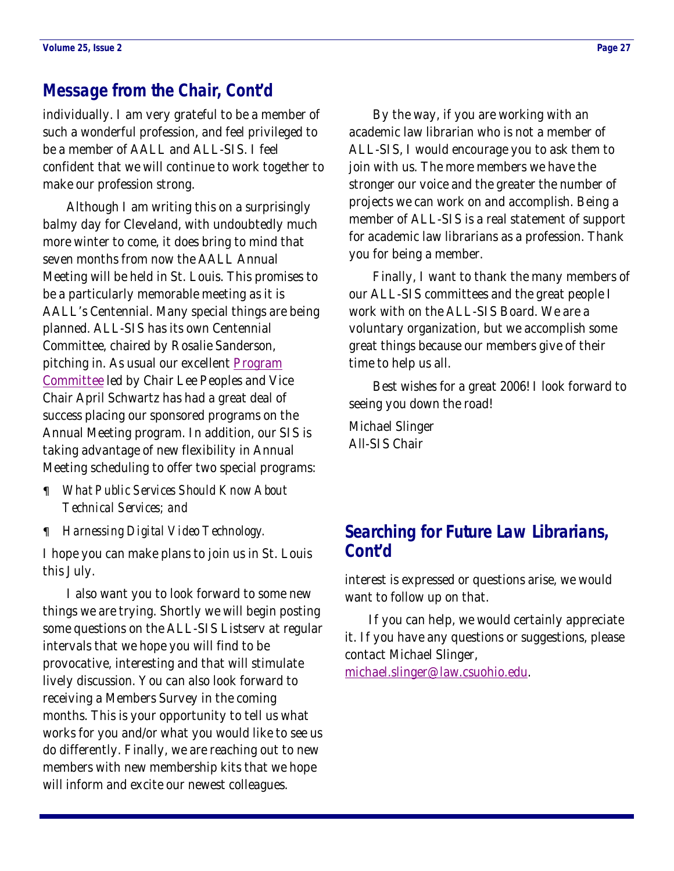### <span id="page-26-0"></span>**Message from the Chair, Cont'd**

individually. I am very grateful to be a member of such a wonderful profession, and feel privileged to be a member of AALL and ALL-SIS. I feel confident that we will continue to work together to make our profession strong.

 Although I am writing this on a surprisingly balmy day for Cleveland, with undoubtedly much more winter to come, it does bring to mind that seven months from now the AALL Annual Meeting will be held in St. Louis. This promises to be a particularly memorable meeting as it is AALL's Centennial. Many special things are being planned. ALL-SIS has its own Centennial Committee, chaired by Rosalie Sanderson, pitching in. As usual our excellent Program [Committee](#page-7-0) led by Chair Lee Peoples and Vice Chair April Schwartz has had a great deal of success placing our sponsored programs on the Annual Meeting program. In addition, our SIS is taking advantage of new flexibility in Annual Meeting scheduling to offer two special programs:

- *What Public Services Should Know About Technical Services; and*
- *Harnessing Digital Video Technology.*

I hope you can make plans to join us in St. Louis this July.

 I also want you to look forward to some new things we are trying. Shortly we will begin posting some questions on the ALL-SIS Listserv at regular intervals that we hope you will find to be provocative, interesting and that will stimulate lively discussion. You can also look forward to receiving a Members Survey in the coming months. This is your opportunity to tell us what works for you and/or what you would like to see us do differently. Finally, we are reaching out to new members with new membership kits that we hope will inform and excite our newest colleagues.

 By the way, if you are working with an academic law librarian who is not a member of ALL-SIS, I would encourage you to ask them to join with us. The more members we have the stronger our voice and the greater the number of projects we can work on and accomplish. Being a member of ALL-SIS is a real statement of support for academic law librarians as a profession. Thank you for being a member.

 Finally, I want to thank the many members of our ALL-SIS committees and the great people I work with on the ALL-SIS Board. We are a voluntary organization, but we accomplish some great things because our members give of their time to help us all.

 Best wishes for a great 2006! I look forward to seeing you down the road!

Michael Slinger All-SIS Chair

### **Searching for Future Law Librarians, Cont'd**

interest is expressed or questions arise, we would want to follow up on that.

 If you can help, we would certainly appreciate it. If you have any questions or suggestions, please contact Michael Slinger,

[michael.slinger@law.csuohio.edu](mailto:michael.slinger@law.csuohio.edu).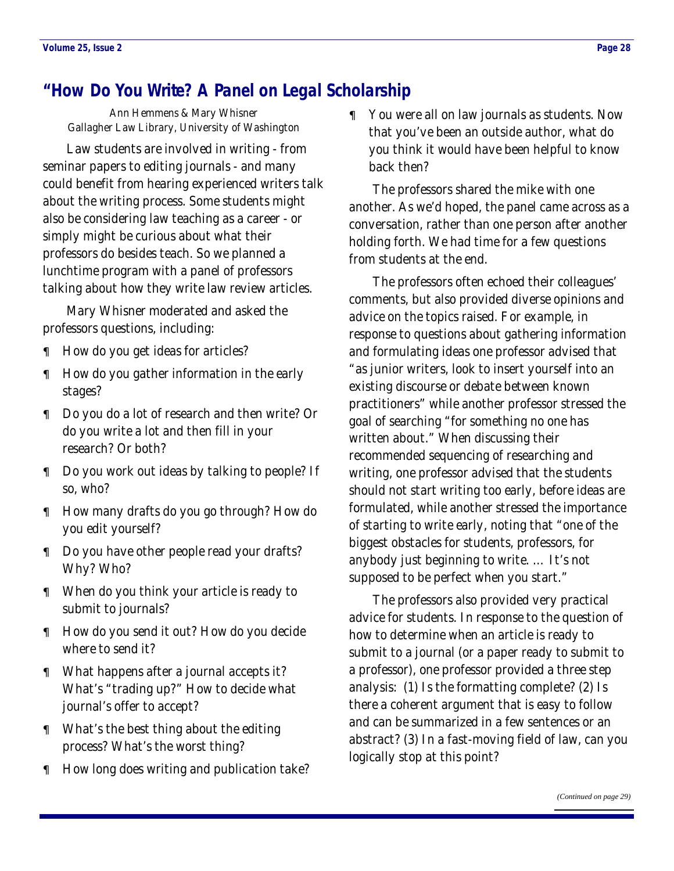# <span id="page-27-0"></span>**"How Do You Write? A Panel on Legal Scholarship**

Ann Hemmens & Mary Whisner Gallagher Law Library, University of Washington

 Law students are involved in writing - from seminar papers to editing journals - and many could benefit from hearing experienced writers talk about the writing process. Some students might also be considering law teaching as a career - or simply might be curious about what their professors do besides teach. So we planned a lunchtime program with a panel of professors talking about how they write law review articles.

 Mary Whisner moderated and asked the professors questions, including:

- How do you get ideas for articles?
- How do you gather information in the early stages?
- Do you do a lot of research and then write? Or do you write a lot and then fill in your research? Or both?
- Do you work out ideas by talking to people? If so, who?
- How many drafts do you go through? How do you edit yourself?
- Do you have other people read your drafts? Why? Who?
- When do you think your article is ready to submit to journals?
- How do you send it out? How do you decide where to send it?
- What happens after a journal accepts it? What's "trading up?" How to decide what journal's offer to accept?
- What's the best thing about the editing process? What's the worst thing?
- How long does writing and publication take?

• You were all on law journals as students. Now that you've been an outside author, what do you think it would have been helpful to know back then?

 The professors shared the mike with one another. As we'd hoped, the panel came across as a conversation, rather than one person after another holding forth. We had time for a few questions from students at the end.

 The professors often echoed their colleagues' comments, but also provided diverse opinions and advice on the topics raised. For example, in response to questions about gathering information and formulating ideas one professor advised that "as junior writers, look to insert yourself into an existing discourse or debate between known practitioners" while another professor stressed the goal of searching "for something no one has written about." When discussing their recommended sequencing of researching and writing, one professor advised that the students should not start writing too early, before ideas are formulated, while another stressed the importance of starting to write early, noting that "one of the biggest obstacles for students, professors, for anybody just beginning to write. … It's not supposed to be perfect when you start."

 The professors also provided very practical advice for students. In response to the question of how to determine when an article is ready to submit to a journal (or a paper ready to submit to a professor), one professor provided a three step analysis: (1) Is the formatting complete? (2) Is there a coherent argument that is easy to follow and can be summarized in a few sentences or an abstract? (3) In a fast-moving field of law, can you logically stop at this point?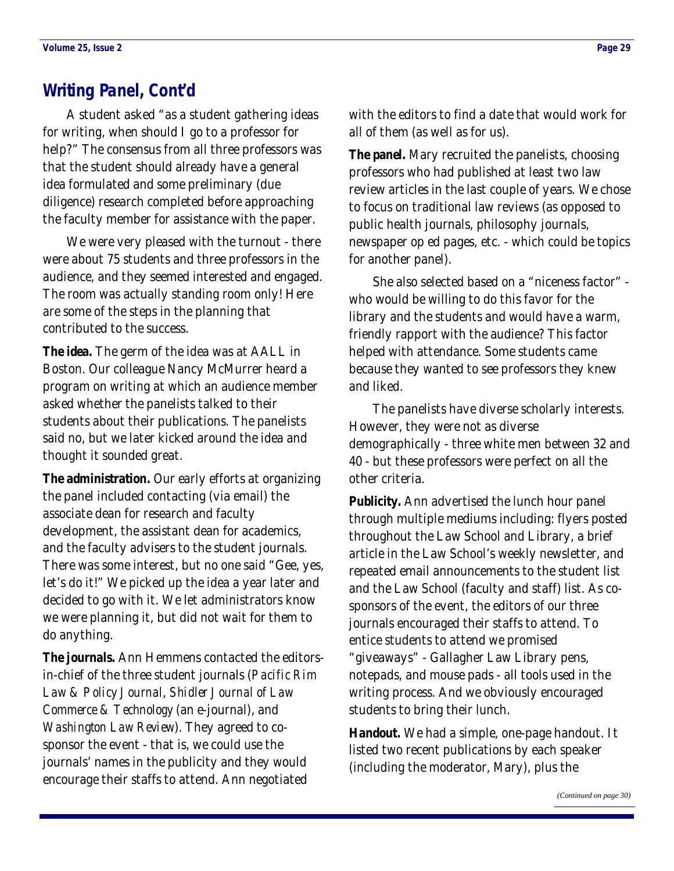# <span id="page-28-0"></span>**Writing Panel, Cont'd**

 A student asked "as a student gathering ideas for writing, when should I go to a professor for help?" The consensus from all three professors was that the student should already have a general idea formulated and some preliminary (due diligence) research completed before approaching the faculty member for assistance with the paper.

 We were very pleased with the turnout - there were about 75 students and three professors in the audience, and they seemed interested and engaged. The room was actually standing room only! Here are some of the steps in the planning that contributed to the success.

**The idea.** The germ of the idea was at AALL in Boston. Our colleague Nancy McMurrer heard a program on writing at which an audience member asked whether the panelists talked to their students about their publications. The panelists said no, but we later kicked around the idea and thought it sounded great.

**The administration.** Our early efforts at organizing the panel included contacting (via email) the associate dean for research and faculty development, the assistant dean for academics, and the faculty advisers to the student journals. There was some interest, but no one said "Gee, yes, let's do it!" We picked up the idea a year later and decided to go with it. We let administrators know we were planning it, but did not wait for them to do anything.

**The journals.** Ann Hemmens contacted the editorsin-chief of the three student journals (*Pacific Rim Law & Policy Journal*, *Shidler Journal of Law Commerce & Technology* (an e-journal), and *Washington Law Review*). They agreed to cosponsor the event - that is, we could use the journals' names in the publicity and they would encourage their staffs to attend. Ann negotiated

with the editors to find a date that would work for all of them (as well as for us).

**The panel.** Mary recruited the panelists, choosing professors who had published at least two law review articles in the last couple of years. We chose to focus on traditional law reviews (as opposed to public health journals, philosophy journals, newspaper op ed pages, etc. - which could be topics for another panel).

 She also selected based on a "niceness factor" who would be willing to do this favor for the library and the students and would have a warm, friendly rapport with the audience? This factor helped with attendance. Some students came because they wanted to see professors they knew and liked.

 The panelists have diverse scholarly interests. However, they were not as diverse demographically - three white men between 32 and 40 - but these professors were perfect on all the other criteria.

**Publicity.** Ann advertised the lunch hour panel through multiple mediums including: flyers posted throughout the Law School and Library, a brief article in the Law School's weekly newsletter, and repeated email announcements to the student list and the Law School (faculty and staff) list. As cosponsors of the event, the editors of our three journals encouraged their staffs to attend. To entice students to attend we promised "giveaways" - Gallagher Law Library pens, notepads, and mouse pads - all tools used in the writing process. And we obviously encouraged students to bring their lunch.

**Handout.** We had a simple, one-page handout. It listed two recent publications by each speaker (including the moderator, Mary), plus the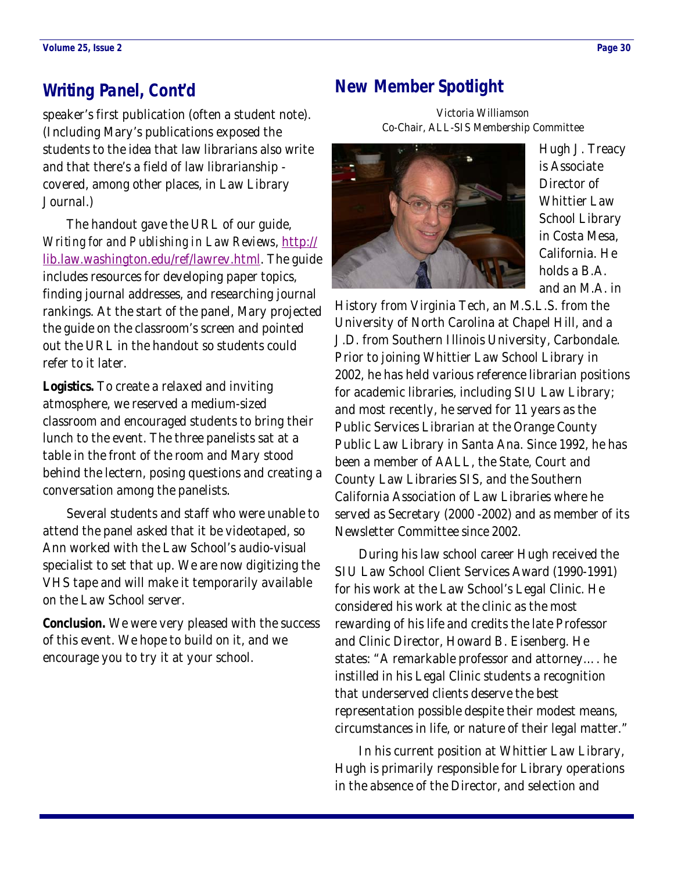# <span id="page-29-0"></span>**Writing Panel, Cont'd**

speaker's first publication (often a student note). (Including Mary's publications exposed the students to the idea that law librarians also write and that there's a field of law librarianship covered, among other places, in Law Library Journal.)

 The handout gave the URL of our guide, *Writing for and Publishing in Law Reviews*, http:// lib.law.washington.edu/ref/lawrev.html. The guide includes resources for developing paper topics, finding journal addresses, and researching journal rankings. At the start of the panel, Mary projected the guide on the classroom's screen and pointed out the URL in the handout so students could refer to it later.

**Logistics.** To create a relaxed and inviting atmosphere, we reserved a medium-sized classroom and encouraged students to bring their lunch to the event. The three panelists sat at a table in the front of the room and Mary stood behind the lectern, posing questions and creating a conversation among the panelists.

 Several students and staff who were unable to attend the panel asked that it be videotaped, so Ann worked with the Law School's audio-visual specialist to set that up. We are now digitizing the VHS tape and will make it temporarily available on the Law School server.

**Conclusion.** We were very pleased with the success of this event. We hope to build on it, and we encourage you to try it at your school.

# **New Member Spotlight**

Victoria Williamson [Co-Chair, ALL-S](http://www.lexthink.com/)IS Membership Committee



Hugh J. Treacy is Associate Director of Whittier Law School Library in Costa Mesa, California. He [holds a B](http://www.orall.org/newsletter/2005-12.pdf#page=10).A. and an M.A. in

History from Virginia Tech, an M.S.L.S. from the University of North Carolina at Chapel Hill, and a J.D. from Southern Illinois University, Carbondale. Prior to joining Whittier Law School Library in 2002, he has held various reference librarian positions for academic libraries, including SIU Law Library; and most recently, he served for 11 years as the Public Services Librarian at the Orange County Public Law Library in Santa Ana. Since 1992, he has been a member of AALL, the State, Court and County Law Libraries SIS, and the Southern California Association of Law Libraries where he served as Secretary (2000 -2002) and as member of its Newsletter Committee since 2002.

 During his law school career Hugh received the SIU Law School Client Services Award (1990-1991) for his work at the Law School's Legal Clinic. He considered his work at the clinic as the most rewarding of his life and credits the late Professor and Clinic Director, Howard B. Eisenberg. He states: "A remarkable professor and attorney…. he instilled in his Legal Clinic students a recognition that underserved clients deserve the best representation possible despite their modest means, circumstances in life, or nature of their legal matter."

 In his current position at Whittier Law Library, Hugh is primarily responsible for Library operations in the absence of the D[irector, and selection](mailto:skelleher@mail.barry.edu) and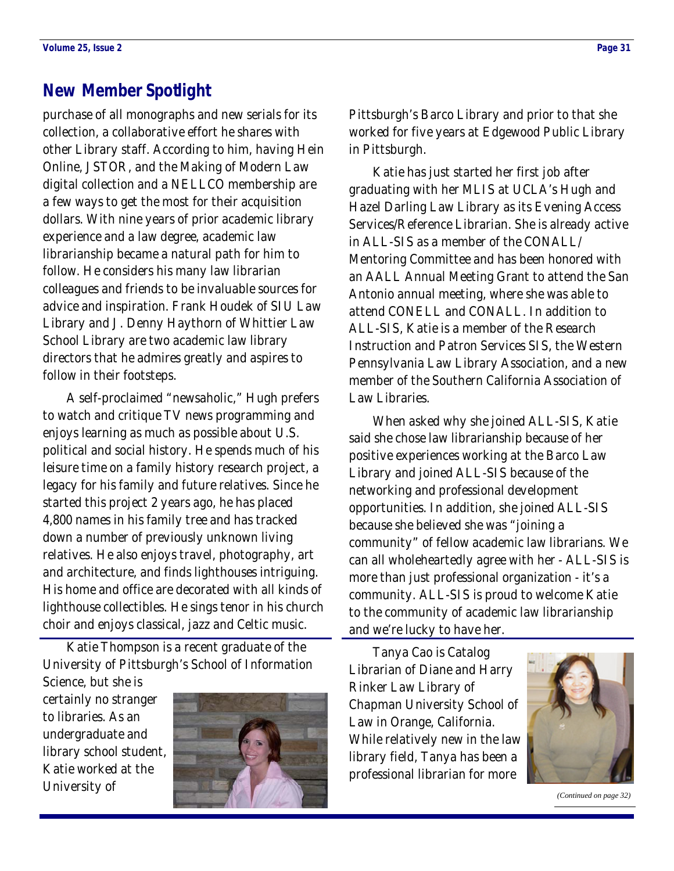### **New Member Spotlight**

purchase of all monographs and new serials for its collection, a collaborative effort he shares with other Library staff. According to him, having Hein Online, JSTOR, and the Making of Modern Law digital collection and a NELLCO membership are a few ways to get the most for their acquisition dollars. With nine years of prior academic library experience and a law degree, academic law librarianship became a natural path for him to follow. He considers his many law librarian colleagues and friends to be invaluable sources for advice and inspiration. Frank Houdek of SIU Law Library and J. Denny Haythorn of Whittier Law School Library are two academic law library directors that he admires greatly and aspires to follow in their footsteps.

 A self-proclaimed "newsaholic," Hugh prefers to watch and critique TV news programming and enjoys learning as much as possible about U.S. political and social history. He spends much of his leisure time on a family history research project, a legacy for his family and future relatives. Since he started this project 2 years ago, he has placed 4,800 names in his family tree and has tracked down a number of previously unknown living relatives. He also enjoys travel, photography, art and architecture, and finds lighthouses intriguing. His home and office are decorated with all kinds of lighthouse collectibles. He sings tenor in his church choir and enjoys classical, jazz and Celtic music.

 Katie Thompson is a recent graduate of the University of Pittsburgh's School of Information

Science, but she is certainly no stranger to libraries. As an undergraduate and library school student, Katie worked at the University of



Pittsburgh's Barco Library and prior to that she worked for five years at Edgewood Public Library in Pittsburgh.

 Katie has just started her first job after graduating with her MLIS at UCLA's Hugh and Hazel Darling Law Library as its Evening Access Services/Reference Librarian. She is already active in ALL-SIS as a member of the CONALL/ Mentoring Committee and has been honored with an AALL Annual Meeting Grant to attend the San Antonio annual meeting, where she was able to attend CONELL and CONALL. In addition to ALL-SIS, Katie is a member of the Research Instruction and Patron Services SIS, the Western Pennsylvania Law Library Association, and a new member of the Southern California Association of Law Libraries.

 When asked why she joined ALL-SIS, Katie said she chose law librarianship because of her positive experiences working at the Barco Law Library and joined ALL-SIS because of the networking and professional development opportunities. In addition, she joined ALL-SIS because she believed she was "joining a community" of fellow academic law librarians. We can all wholeheartedly agree with her - ALL-SIS is more than just professional organization - it's a community. ALL-SIS is proud to welcome Katie to the community of academic law librarianship and we're lucky to have her.

 Tanya Cao is Catalog Librarian of Diane and Harry Rinker Law Library of Chapman University School of Law in Orange, California. While relatively new in the law library field, Tanya has been a professional librarian for more



*[\(Continued on page 32\)](#page-33-0)*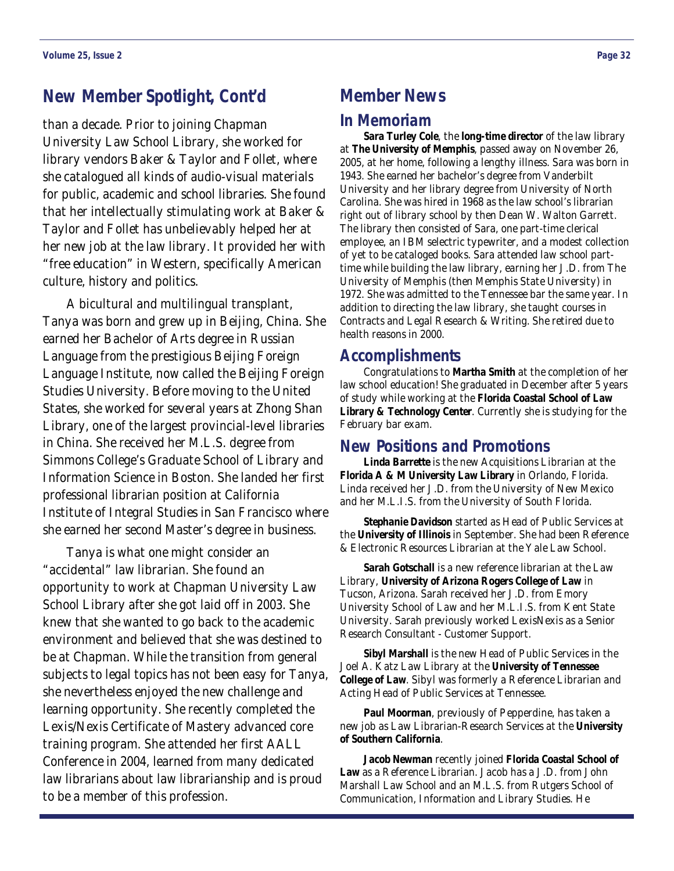# **New Member Spotlight, Cont'd**

than a decade. Prior to joining Chapman University Law School Library, she worked for library vendors Baker & Taylor and Follet, where she catalogued all kinds of audio-visual materials for public, academic and school libraries. She found that her intellectually stimulating work at Baker & Taylor and Follet has unbelievably helped her at her new job at the law library. It provided her with "free education" in Western, specifically American culture, history and politics.

 A bicultural and multilingual transplant, Tanya was born and grew up in Beijing, China. She earned her Bachelor of Arts degree in Russian Language from the prestigious Beijing Foreign Language Institute, now called the Beijing Foreign Studies University. Before moving to the United States, she worked for several years at Zhong Shan Library, one of the largest provincial-level libraries in China. She received her M.L.S. degree from Simmons College's Graduate School of Library and Information Science in Boston. She landed her first professional librarian position at California Institute of Integral Studies in San Francisco where she earned her second Master's degree in business.

 Tanya is what one might consider an "accidental" law librarian. She found an opportunity to work at Chapman University Law School Library after she got laid off in 2003. She knew that she wanted to go back to the academic environment and believed that she was destined to be at Chapman. While the transition from general subjects to legal topics has not been easy for Tanya, she nevertheless enjoyed the new challenge and learning opportunity. She recently completed the Lexis/Nexis Certificate of Mastery advanced core training program. She attended her first AALL Conference in 2004, learned from many dedicated law librarians about law librarianship and is proud to be a member of this profession.

### **Member News**

#### **In Memoriam**

**Sara Turley Cole**, the **long-time director** of the law library at **The University of Memphis**, passed away on November 26, 2005, at her home, following a lengthy illness. Sara was born in 1943. She earned her bachelor's degree from Vanderbilt University and her library degree from University of North Carolina. She was hired in 1968 as the law school's librarian right out of library school by then Dean W. Walton Garrett. The library then consisted of Sara, one part-time clerical employee, an IBM selectric typewriter, and a modest collection of yet to be cataloged books. Sara attended law school parttime while building the law library, earning her J.D. from The University of Memphis (then Memphis State University) in 1972. She was admitted to the Tennessee bar the same year. In addition to directing the law library, she taught courses in Contracts and Legal Research & Writing. She retired due to health reasons in 2000.

### **Accomplishments**

 Congratulations to **Martha Smith** at the completion of her law school education! She graduated in December after 5 years of study while working at the **Florida Coastal School of Law Library & Technology Center**. Currently she is studying for the February bar exam.

### **New Positions and Promotions**

**Linda Barrette** is the new Acquisitions Librarian at the **Florida A & M University Law Library** in Orlando, Florida. Linda received her J.D. from the University of New Mexico and her M.L.I.S. from the University of South Florida.

**Stephanie Davidson** started as Head of Public Services at the **University of Illinois** in September. She had been Reference & Electronic Resources Librarian at the Yale Law School.

**Sarah Gotschall** is a new reference librarian at the Law Library, **University of Arizona Rogers College of Law** in Tucson, Arizona. Sarah received her J.D. from Emory University School of Law and her M.L.I.S. from Kent State University. Sarah previously worked LexisNexis as a Senior Research Consultant - Customer Support.

**Sibyl Marshall** is the new Head of Public Services in the Joel A. Katz Law Library at the **University of Tennessee College of Law**. Sibyl was formerly a Reference Librarian and Acting Head of Public Services at Tennessee.

**Paul Moorman**, previously of Pepperdine, has taken a new job as Law Librarian-Research Services at the **University of Southern California**.

**Jacob Newman** recently joined **Florida Coastal School of Law** as a Reference Librarian. Jacob has a J.D. from John Marshall Law School and an M.L.S. from Rutgers School of Communication, Information and Library Studies. He